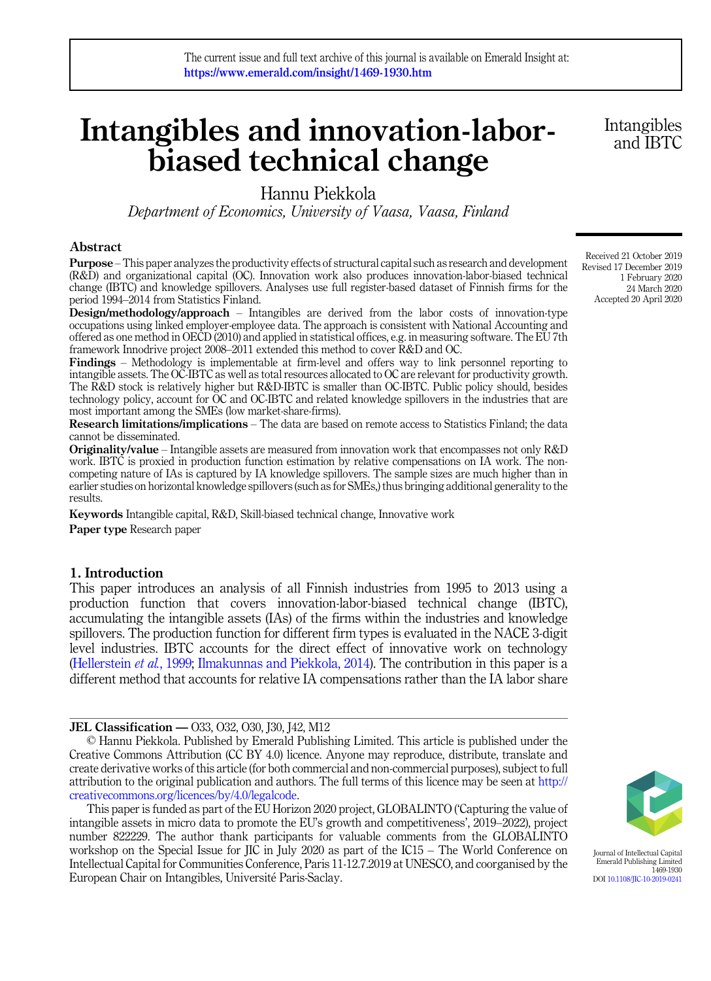# Intangibles and innovation-laborbiased technical change

# Hannu Piekkola

Department of Economics, University of Vaasa, Vaasa, Finland

# Abstract

Purpose – This paper analyzes the productivity effects of structural capital such as research and development (R&D) and organizational capital (OC). Innovation work also produces innovation-labor-biased technical change (IBTC) and knowledge spillovers. Analyses use full register-based dataset of Finnish firms for the period 1994–2014 from Statistics Finland.

Design/methodology/approach – Intangibles are derived from the labor costs of innovation-type occupations using linked employer-employee data. The approach is consistent with National Accounting and offered as one method in OECD (2010) and applied in statistical offices, e.g. in measuring software. The EU 7th framework Innodrive project 2008–2011 extended this method to cover R&D and OC.

Findings – Methodology is implementable at firm-level and offers way to link personnel reporting to intangible assets. The OC-IBTC as well as total resources allocated to OC are relevant for productivity growth. The R&D stock is relatively higher but R&D-IBTC is smaller than OC-IBTC. Public policy should, besides technology policy, account for OC and OC-IBTC and related knowledge spillovers in the industries that are most important among the SMEs (low market-share-firms).

Research limitations/implications – The data are based on remote access to Statistics Finland; the data cannot be disseminated.

Originality/value – Intangible assets are measured from innovation work that encompasses not only R&D work. IBTC is proxied in production function estimation by relative compensations on IA work. The noncompeting nature of IAs is captured by IA knowledge spillovers. The sample sizes are much higher than in earlier studies on horizontal knowledge spillovers (such as for SMEs,) thus bringing additional generality to the results.

Keywords Intangible capital, R&D, Skill-biased technical change, Innovative work Paper type Research paper

# 1. Introduction

This paper introduces an analysis of all Finnish industries from 1995 to 2013 using a production function that covers innovation-labor-biased technical change (IBTC), accumulating the intangible assets (IAs) of the firms within the industries and knowledge spillovers. The production function for different firm types is evaluated in the NACE 3-digit level industries. IBTC accounts for the direct effect of innovative work on technology ([Hellerstein](#page-16-0) et al., 1999; [Ilmakunnas and Piekkola, 2014\)](#page-17-0). The contribution in this paper is a different method that accounts for relative IA compensations rather than the IA labor share

## JEL Classification — O33, O32, O30, J30, J42, M12

© Hannu Piekkola. Published by Emerald Publishing Limited. This article is published under the Creative Commons Attribution (CC BY 4.0) licence. Anyone may reproduce, distribute, translate and create derivative works of this article (for both commercial and non-commercial purposes), subject to full attribution to the original publication and authors. The full terms of this licence may be seen at [http://](http://creativecommons.org/licences/by/4.0/legalcode) [creativecommons.org/licences/by/4.0/legalcode](http://creativecommons.org/licences/by/4.0/legalcode).

This paper is funded as part of the EU Horizon 2020 project, GLOBALINTO ('Capturing the value of intangible assets in micro data to promote the EU's growth and competitiveness', 2019–2022), project number 822229. The author thank participants for valuable comments from the GLOBALINTO workshop on the Special Issue for JIC in July 2020 as part of the IC15 – The World Conference on Intellectual Capital for Communities Conference, Paris 11-12.7.2019 at UNESCO, and coorganised by the European Chair on Intangibles, Universite Paris-Saclay.

Received 21 October 2019 Revised 17 December 2019 1 February 2020 24 March 2020 Accepted 20 April 2020



Journal of Intellectual Capital Emerald Publishing Limited 1469-1930 DOI [10.1108/JIC-10-2019-0241](https://doi.org/10.1108/JIC-10-2019-0241)

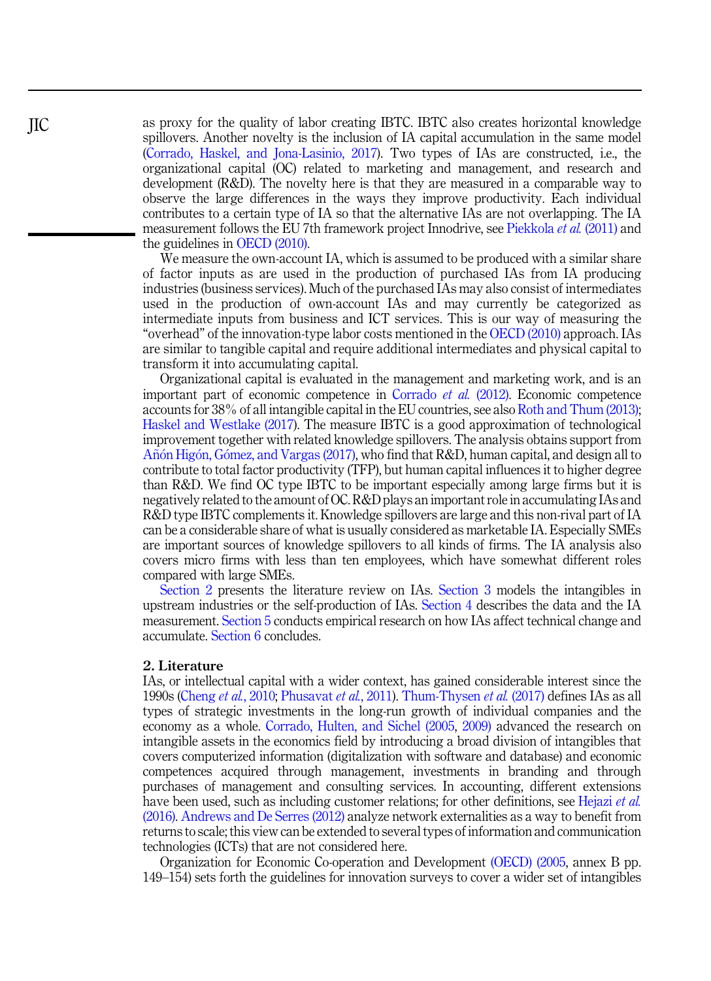as proxy for the quality of labor creating IBTC. IBTC also creates horizontal knowledge spillovers. Another novelty is the inclusion of IA capital accumulation in the same model ([Corrado, Haskel, and Jona-Lasinio, 2017\)](#page-16-0). Two types of IAs are constructed, i.e., the organizational capital (OC) related to marketing and management, and research and development (R&D). The novelty here is that they are measured in a comparable way to observe the large differences in the ways they improve productivity. Each individual contributes to a certain type of IA so that the alternative IAs are not overlapping. The IA measurement follows the EU 7th framework project Innodrive, see [Piekkola](#page-17-0) *et al.* (2011) and the guidelines in [OECD \(2010\)](#page-17-0).

We measure the own-account IA, which is assumed to be produced with a similar share of factor inputs as are used in the production of purchased IAs from IA producing industries (business services). Much of the purchased IAs may also consist of intermediates used in the production of own-account IAs and may currently be categorized as intermediate inputs from business and ICT services. This is our way of measuring the "overhead" of the innovation-type labor costs mentioned in the [OECD \(2010\)](#page-17-0) approach. IAs are similar to tangible capital and require additional intermediates and physical capital to transform it into accumulating capital.

Organizational capital is evaluated in the management and marketing work, and is an important part of economic competence in [Corrado](#page-16-0) et al. (2012). Economic competence accounts for 38% of all intangible capital in the EU countries, see also [Roth and Thum \(2013\)](#page-18-0); [Haskel and Westlake \(2017\)](#page-16-0). The measure IBTC is a good approximation of technological improvement together with related knowledge spillovers. The analysis obtains support from [A](#page-15-0)ñón Higón, Gó[mez, and Vargas \(2017\),](#page-15-0) who find that  $R&D$ , human capital, and design all to contribute to total factor productivity (TFP), but human capital influences it to higher degree than R&D. We find OC type IBTC to be important especially among large firms but it is negatively related to the amount of OC. R&D plays an important role in accumulating IAs and R&D type IBTC complements it. Knowledge spillovers are large and this non-rival part of IA can be a considerable share of what is usually considered as marketable IA. Especially SMEs are important sources of knowledge spillovers to all kinds of firms. The IA analysis also covers micro firms with less than ten employees, which have somewhat different roles compared with large SMEs.

Section 2 presents the literature review on IAs. [Section 3](#page-3-0) models the intangibles in upstream industries or the self-production of IAs. [Section 4](#page-7-0) describes the data and the IA measurement. [Section 5](#page-10-0) conducts empirical research on how IAs affect technical change and accumulate. [Section 6](#page-13-0) concludes.

#### 2. Literature

IAs, or intellectual capital with a wider context, has gained considerable interest since the 1990s ([Cheng](#page-16-0) et al., 2010; [Phusavat](#page-17-0) et al., 2011). [Thum-Thysen](#page-18-0) et al. (2017) defines IAs as all types of strategic investments in the long-run growth of individual companies and the economy as a whole. [Corrado, Hulten, and Sichel \(2005](#page-16-0), [2009\)](#page-16-0) advanced the research on intangible assets in the economics field by introducing a broad division of intangibles that covers computerized information (digitalization with software and database) and economic competences acquired through management, investments in branding and through purchases of management and consulting services. In accounting, different extensions have been used, such as including customer relations; for other definitions, see [Hejazi](#page-16-0) et al. [\(2016\).](#page-16-0) [Andrews and De Serres \(2012\)](#page-15-0) analyze network externalities as a way to benefit from returns to scale; this view can be extended to several types of information and communication technologies (ICTs) that are not considered here.

Organization for Economic Co-operation and Development [\(OECD\) \(2005,](#page-17-0) annex B pp. 149–154) sets forth the guidelines for innovation surveys to cover a wider set of intangibles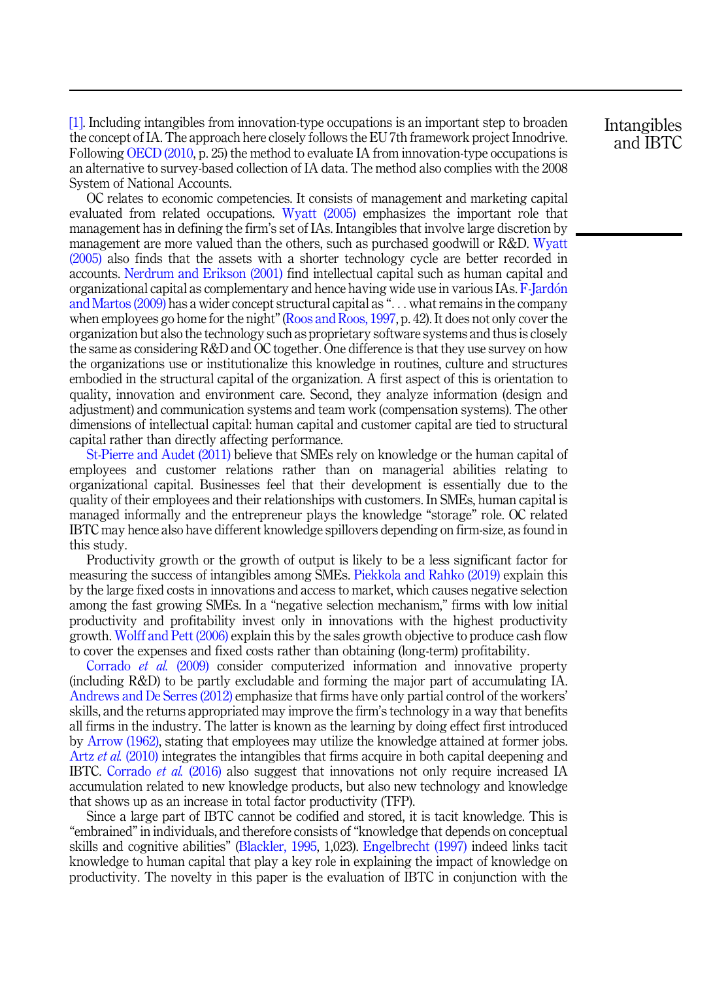[\[1\]](#page-15-0). Including intangibles from innovation-type occupations is an important step to broaden the concept of IA. The approach here closely follows the EU 7th framework project Innodrive. Following [OECD \(2010](#page-17-0), p. 25) the method to evaluate IA from innovation-type occupations is an alternative to survey-based collection of IA data. The method also complies with the 2008 System of National Accounts.

OC relates to economic competencies. It consists of management and marketing capital evaluated from related occupations. [Wyatt \(2005\)](#page-18-0) emphasizes the important role that management has in defining the firm's set of IAs. Intangibles that involve large discretion by management are more valued than the others, such as purchased goodwill or R&D. [Wyatt](#page-18-0) [\(2005\)](#page-18-0) also finds that the assets with a shorter technology cycle are better recorded in accounts. [Nerdrum and Erikson \(2001\)](#page-17-0) find intellectual capital such as human capital and organizational capital as complementary and hence having wide use in various IAs. [F-Jard](#page-16-0)[on](#page-16-0) [and Martos \(2009\)](#page-16-0) has a wider concept structural capital as "... what remains in the company when employees go home for the night"[\(Roos and Roos, 1997,](#page-17-0) p. 42). It does not only cover the organization but also the technology such as proprietary software systems and thus is closely the same as considering R&D and OC together. One difference is that they use survey on how the organizations use or institutionalize this knowledge in routines, culture and structures embodied in the structural capital of the organization. A first aspect of this is orientation to quality, innovation and environment care. Second, they analyze information (design and adjustment) and communication systems and team work (compensation systems). The other dimensions of intellectual capital: human capital and customer capital are tied to structural capital rather than directly affecting performance.

[St-Pierre and Audet \(2011\)](#page-18-0) believe that SMEs rely on knowledge or the human capital of employees and customer relations rather than on managerial abilities relating to organizational capital. Businesses feel that their development is essentially due to the quality of their employees and their relationships with customers. In SMEs, human capital is managed informally and the entrepreneur plays the knowledge "storage" role. OC related IBTC may hence also have different knowledge spillovers depending on firm-size, as found in this study.

Productivity growth or the growth of output is likely to be a less significant factor for measuring the success of intangibles among SMEs. [Piekkola and Rahko \(2019\)](#page-17-0) explain this by the large fixed costs in innovations and access to market, which causes negative selection among the fast growing SMEs. In a "negative selection mechanism," firms with low initial productivity and profitability invest only in innovations with the highest productivity growth. [Wolff and Pett \(2006\)](#page-18-0) explain this by the sales growth objective to produce cash flow to cover the expenses and fixed costs rather than obtaining (long-term) profitability.

[Corrado](#page-16-0) et al. (2009) consider computerized information and innovative property (including R&D) to be partly excludable and forming the major part of accumulating IA. [Andrews and De Serres \(2012\)](#page-15-0) emphasize that firms have only partial control of the workers' skills, and the returns appropriated may improve the firm's technology in a way that benefits all firms in the industry. The latter is known as the learning by doing effect first introduced by [Arrow \(1962\)](#page-15-0), stating that employees may utilize the knowledge attained at former jobs. Artz et al. [\(2010\)](#page-15-0) integrates the intangibles that firms acquire in both capital deepening and IBTC. [Corrado](#page-16-0) et al. (2016) also suggest that innovations not only require increased IA accumulation related to new knowledge products, but also new technology and knowledge that shows up as an increase in total factor productivity (TFP).

Since a large part of IBTC cannot be codified and stored, it is tacit knowledge. This is "embrained"in individuals, and therefore consists of"knowledge that depends on conceptual skills and cognitive abilities" ([Blackler, 1995,](#page-16-0) 1,023). [Engelbrecht \(1997\)](#page-16-0) indeed links tacit knowledge to human capital that play a key role in explaining the impact of knowledge on productivity. The novelty in this paper is the evaluation of IBTC in conjunction with the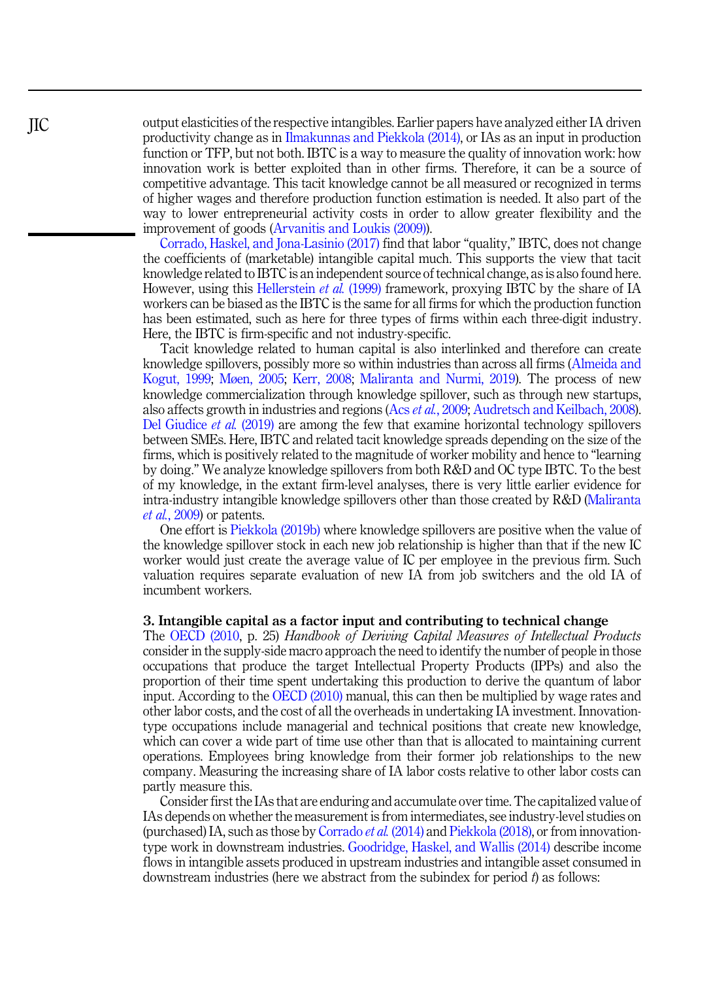output elasticities of the respective intangibles. Earlier papers have analyzed either IA driven productivity change as in [Ilmakunnas and Piekkola \(2014\)](#page-17-0), or IAs as an input in production function or TFP, but not both. IBTC is a way to measure the quality of innovation work: how innovation work is better exploited than in other firms. Therefore, it can be a source of competitive advantage. This tacit knowledge cannot be all measured or recognized in terms of higher wages and therefore production function estimation is needed. It also part of the way to lower entrepreneurial activity costs in order to allow greater flexibility and the improvement of goods [\(Arvanitis and Loukis \(2009\)\)](#page-15-0).

[Corrado, Haskel, and Jona-Lasinio \(2017\)](#page-16-0) find that labor "quality," IBTC, does not change the coefficients of (marketable) intangible capital much. This supports the view that tacit knowledge related to IBTC is an independent source of technical change, as is also found here. However, using this [Hellerstein](#page-16-0) *et al.* (1999) framework, proxying IBTC by the share of IA workers can be biased as the IBTC is the same for all firms for which the production function has been estimated, such as here for three types of firms within each three-digit industry. Here, the IBTC is firm-specific and not industry-specific.

Tacit knowledge related to human capital is also interlinked and therefore can create knowledge spillovers, possibly more so within industries than across all firms ([Almeida and](#page-15-0) [Kogut, 1999](#page-15-0); [Møen, 2005](#page-17-0); [Kerr, 2008](#page-17-0); [Maliranta and Nurmi, 2019\)](#page-17-0). The process of new knowledge commercialization through knowledge spillover, such as through new startups, also affects growth in industries and regions (Acs et al.[, 2009;](#page-15-0) [Audretsch and Keilbach, 2008\)](#page-15-0). [Del Giudice](#page-16-0) et al. (2019) are among the few that examine horizontal technology spillovers between SMEs. Here, IBTC and related tacit knowledge spreads depending on the size of the firms, which is positively related to the magnitude of worker mobility and hence to "learning by doing." We analyze knowledge spillovers from both R&D and OC type IBTC. To the best of my knowledge, in the extant firm-level analyses, there is very little earlier evidence for intra-industry intangible knowledge spillovers other than those created by R&D ([Maliranta](#page-17-0) et al.[, 2009\)](#page-17-0) or patents.

One effort is [Piekkola \(2019b\)](#page-17-0) where knowledge spillovers are positive when the value of the knowledge spillover stock in each new job relationship is higher than that if the new IC worker would just create the average value of IC per employee in the previous firm. Such valuation requires separate evaluation of new IA from job switchers and the old IA of incumbent workers.

## 3. Intangible capital as a factor input and contributing to technical change

The [OECD \(2010](#page-17-0), p. 25) Handbook of Deriving Capital Measures of Intellectual Products consider in the supply-side macro approach the need to identify the number of people in those occupations that produce the target Intellectual Property Products (IPPs) and also the proportion of their time spent undertaking this production to derive the quantum of labor input. According to the [OECD \(2010\)](#page-17-0) manual, this can then be multiplied by wage rates and other labor costs, and the cost of all the overheads in undertaking IA investment. Innovationtype occupations include managerial and technical positions that create new knowledge, which can cover a wide part of time use other than that is allocated to maintaining current operations. Employees bring knowledge from their former job relationships to the new company. Measuring the increasing share of IA labor costs relative to other labor costs can partly measure this.

Consider first the IAs that are enduring and accumulate over time. The capitalized value of IAs depends on whether the measurement is from intermediates, see industry-level studies on (purchased) IA, such as those by [Corrado](#page-16-0) et al. (2014) and [Piekkola \(2018\),](#page-17-0) or from innovationtype work in downstream industries. [Goodridge, Haskel, and Wallis \(2014\)](#page-16-0) describe income flows in intangible assets produced in upstream industries and intangible asset consumed in downstream industries (here we abstract from the subindex for period  $t$ ) as follows:

<span id="page-3-0"></span>JIC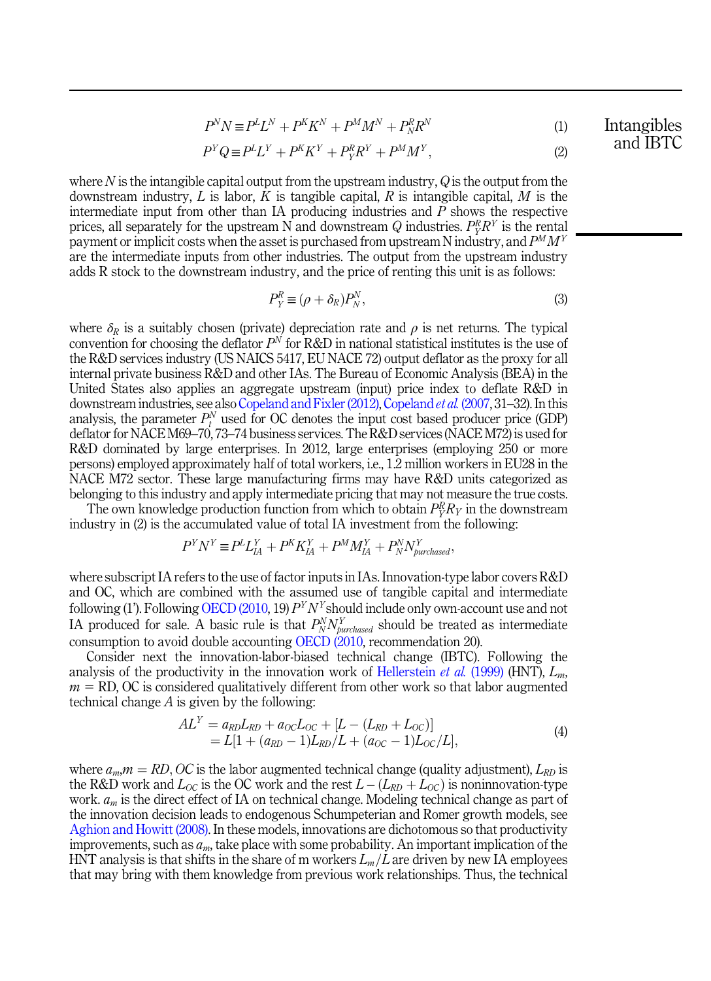$$
P^N N \equiv P^L L^N + P^K K^N + P^M M^N + P^R_N R^N \tag{1}
$$

$$
P^{Y}Q \equiv P^{L}L^{Y} + P^{K}K^{Y} + P^{R}_{Y}R^{Y} + P^{M}M^{Y}, \qquad (2)
$$

where  $N$  is the intangible capital output from the upstream industry,  $Q$  is the output from the downstream industry, L is labor, K is tangible capital, R is intangible capital, M is the intermediate input from other than IA producing industries and  $P$  shows the respective prices, all separately for the upstream N and downstream Q industries.  $P^R_Y R^Y$  is the rental payment or implicit costs when the asset is purchased from upstream N industry, and  $P^{M}M^{Y}$ are the intermediate inputs from other industries. The output from the upstream industry adds R stock to the downstream industry, and the price of renting this unit is as follows:

$$
P_Y^R \equiv (\rho + \delta_R) P_N^N,\tag{3}
$$

where  $\delta_R$  is a suitably chosen (private) depreciation rate and  $\rho$  is net returns. The typical convention for choosing the deflator  $P<sup>N</sup>$  for R&D in national statistical institutes is the use of the R&D services industry (US NAICS 5417, EU NACE 72) output deflator as the proxy for all internal private business R&D and other IAs. The Bureau of Economic Analysis (BEA) in the United States also applies an aggregate upstream (input) price index to deflate R&D in downstream industries, see also [Copeland and Fixler \(2012\),](#page-16-0) [Copeland](#page-16-0) et al. (2007, 31–32). In this analysis, the parameter  $P_t^N$  used for OC denotes the input cost based producer price (GDP) deflator for NACE M69–70, 73–74 business services. The R&D services (NACE M72) is used for R&D dominated by large enterprises. In 2012, large enterprises (employing 250 or more persons) employed approximately half of total workers, i.e., 1.2 million workers in EU28 in the NACE M72 sector. These large manufacturing firms may have R&D units categorized as belonging to this industry and apply intermediate pricing that may not measure the true costs.

The own knowledge production function from which to obtain  $P_Y^R R_Y$  in the downstream industry in (2) is the accumulated value of total IA investment from the following:

$$
P^Y N^Y \equiv P^L L_{IA}^Y + P^K K_{IA}^Y + P^M M_{IA}^Y + P^N_N N_{\text{purchased}}^Y,
$$

where subscript IA refers to the use of factor inputs in IAs. Innovation-type labor covers R&D and OC, which are combined with the assumed use of tangible capital and intermediate following (1'). Following [OECD \(2010,](#page-17-0) 19)  $P<sup>Y</sup>N<sup>Y</sup>$ should include only own-account use and not IA produced for sale. A basic rule is that  $P_N^N N_{\textit{purchased}}^N$  should be treated as intermediate consumption to avoid double accounting [OECD \(2010,](#page-17-0) recommendation 20).

Consider next the innovation-labor-biased technical change (IBTC). Following the analysis of the productivity in the innovation work of [Hellerstein](#page-16-0) et al. (1999) (HNT),  $L_m$ ,  $m = R$ D, OC is considered qualitatively different from other work so that labor augmented technical change  $A$  is given by the following:

$$
ALY = aRDLRD + aOCLOC + [L - (LRD + LOC)]= L[1 + (aRD - 1)LRD/L + (aOC - 1)LOC/L],
$$
\n(4)

where  $a_m$ ,  $m = RD$ , OC is the labor augmented technical change (quality adjustment),  $L_{RD}$  is the R&D work and  $L_{OC}$  is the OC work and the rest  $L - (L_{RD} + L_{OC})$  is noninnovation-type work.  $a_m$  is the direct effect of IA on technical change. Modeling technical change as part of the innovation decision leads to endogenous Schumpeterian and Romer growth models, see [Aghion and Howitt \(2008\)](#page-15-0). In these models, innovations are dichotomous so that productivity improvements, such as  $a_m$ , take place with some probability. An important implication of the HNT analysis is that shifts in the share of m workers  $L_m/L$  are driven by new IA employees that may bring with them knowledge from previous work relationships. Thus, the technical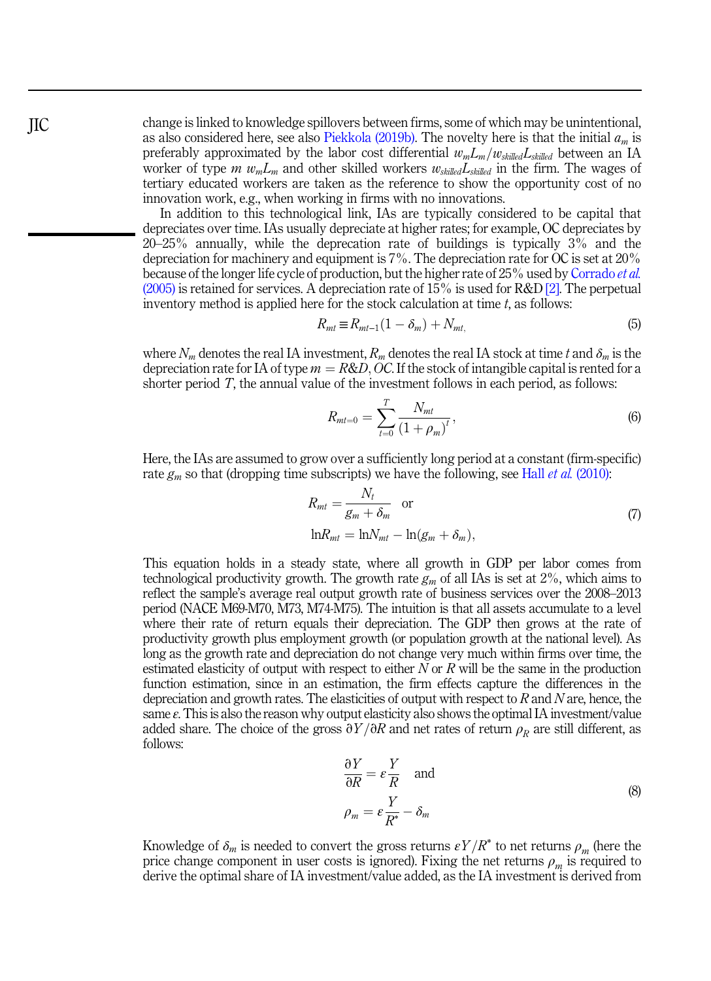change is linked to knowledge spillovers between firms, some of which may be unintentional, as also considered here, see also [Piekkola \(2019b\).](#page-17-0) The novelty here is that the initial  $a_m$  is preferably approximated by the labor cost differential  $w_mL_m/w_{\textit{skilled}}L_{\textit{skilled}}$  between an IA worker of type m  $w_m L_m$  and other skilled workers  $w_{\text{skilled}} L_{\text{skilled}}$  in the firm. The wages of tertiary educated workers are taken as the reference to show the opportunity cost of no innovation work, e.g., when working in firms with no innovations.

In addition to this technological link, IAs are typically considered to be capital that depreciates over time. IAs usually depreciate at higher rates; for example, OC depreciates by 20–25% annually, while the deprecation rate of buildings is typically 3% and the depreciation for machinery and equipment is 7%. The depreciation rate for OC is set at 20% because of the longer life cycle of production, but the higher rate of 25% used by [Corrado](#page-16-0) et al.  $(2005)$  is retained for services. A depreciation rate of  $15\%$  is used for R&D [\[2\]](#page-15-0). The perpetual inventory method is applied here for the stock calculation at time  $t$ , as follows:

$$
R_{mt} \equiv R_{mt-1}(1 - \delta_m) + N_{mt},\tag{5}
$$

where  $N_m$  denotes the real IA investment,  $R_m$  denotes the real IA stock at time t and  $\delta_m$  is the depreciation rate for IA of type  $m = R&D$ , OC. If the stock of intangible capital is rented for a shorter period T, the annual value of the investment follows in each period, as follows:

$$
R_{mt=0} = \sum_{t=0}^{T} \frac{N_{mt}}{(1+\rho_m)^t},
$$
\n(6)

Here, the IAs are assumed to grow over a sufficiently long period at a constant (firm-specific) rate  $g_m$  so that (dropping time subscripts) we have the following, see Hall *et al.* [\(2010\):](#page-16-0)

$$
R_{mt} = \frac{N_t}{g_m + \delta_m} \quad \text{or}
$$
  

$$
\ln R_{mt} = \ln N_{mt} - \ln(g_m + \delta_m),
$$
 (7)

This equation holds in a steady state, where all growth in GDP per labor comes from technological productivity growth. The growth rate  $g_m$  of all IAs is set at 2%, which aims to reflect the sample's average real output growth rate of business services over the 2008–2013 period (NACE M69-M70, M73, M74-M75). The intuition is that all assets accumulate to a level where their rate of return equals their depreciation. The GDP then grows at the rate of productivity growth plus employment growth (or population growth at the national level). As long as the growth rate and depreciation do not change very much within firms over time, the estimated elasticity of output with respect to either  $N$  or  $R$  will be the same in the production function estimation, since in an estimation, the firm effects capture the differences in the depreciation and growth rates. The elasticities of output with respect to  $R$  and  $N$  are, hence, the same  $\varepsilon$ . This is also the reason why output elasticity also shows the optimal IA investment/value added share. The choice of the gross  $\partial Y/\partial R$  and net rates of return  $\rho_R$  are still different, as follows:

$$
\frac{\partial Y}{\partial R} = \varepsilon \frac{Y}{R} \quad \text{and}
$$
\n
$$
\rho_m = \varepsilon \frac{Y}{R^*} - \delta_m
$$
\n(8)

Knowledge of  $\delta_m$  is needed to convert the gross returns  $\epsilon Y/R^*$  to net returns  $\rho_m$  (here the price change component in user costs is ignored). Fixing the net returns  $\rho_m$  is required to derive the optimal share of IA investment/value added, as the IA investment is derived from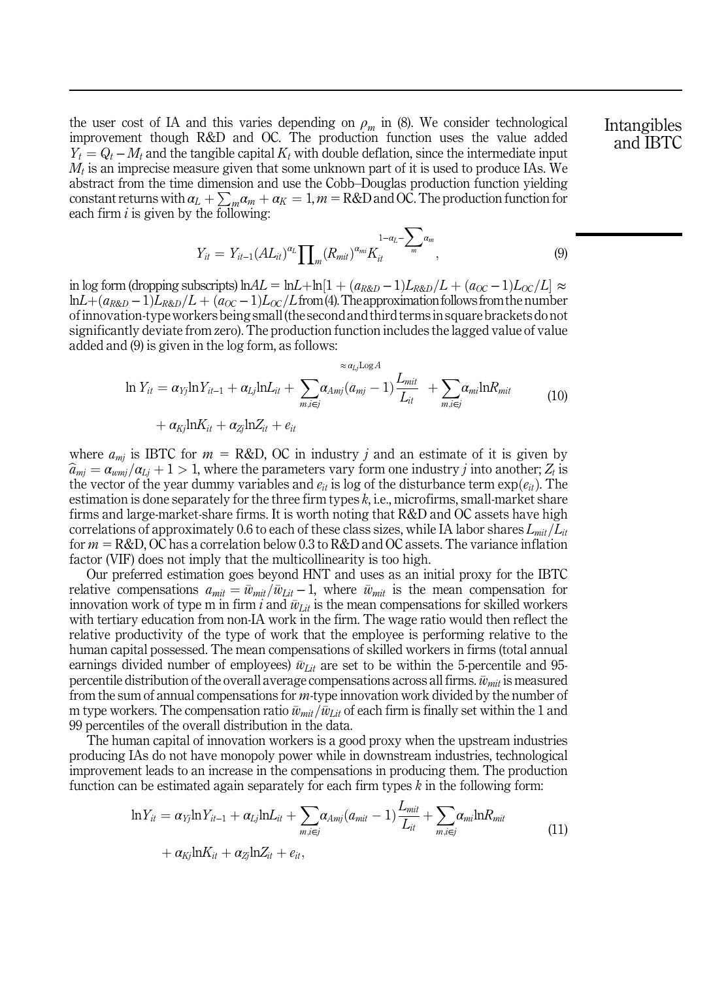<span id="page-6-0"></span>the user cost of IA and this varies depending on  $\rho_m$  in (8). We consider technological improvement though R&D and OC. The production function uses the value added  $Y_t = Q_t - M_t$  and the tangible capital  $K_t$  with double deflation, since the intermediate input  $M_t$  is an imprecise measure given that some unknown part of it is used to produce IAs. We abstract from the time dimension and use the Cobb–Douglas production function yielding constant returns with  $a_L + \sum_m a_m + a_K = 1$ ,  $m = R\&D$  and OC. The production function for each firm  $i$  is given by the following:

$$
Y_{it} = Y_{it-1} (AL_{it})^{\alpha_L} \prod_{m} (R_{mit})^{\alpha_{mi}} K_{it}^{1-\alpha_L - \sum_{m} \alpha_m}, \tag{9}
$$

in log form (dropping subscripts) ln $AL = \ln L + \ln[1 + (a_{R\&D} - 1)L_{R\&D}/L + (a_{OC} - 1)L_{OC}/L] \approx$  $lnL+(a_{R\&D}-1)L_{R\&D}/L+(a_{OC}-1)L_{OC}/L$  from (4). The approximation follows from the number ofinnovation-typeworkers being small(the second and third termsin square brackets do not significantly deviate from zero). The production function includes the lagged value of value added and (9) is given in the log form, as follows:

$$
\ln Y_{it} = \alpha_{Yj} \ln Y_{it-1} + \alpha_{Lj} \ln L_{it} + \sum_{m,i \in j} \alpha_{Amj} (a_{mj} - 1) \frac{L_{mit}}{L_{it}} + \sum_{m,i \in j} \alpha_{mi} \ln R_{mit}
$$
(10)

$$
+\alpha_{Kj} \ln K_{it} + \alpha_{Zj} \ln Z_{it} + e_{it}
$$

where  $a_{mi}$  is IBTC for  $m = R&D$ , OC in industry j and an estimate of it is given by  $\widehat{a}_{mi} = a_{wmj}/a_{Li} + 1 > 1$ , where the parameters vary form one industry j into another;  $Z_t$  is the vector of the year dummy variables and  $e_{it}$  is log of the disturbance term  $\exp(e_{it})$ . The estimation is done separately for the three firm types  $k$ , i.e., microfirms, small-market share firms and large-market-share firms. It is worth noting that R&D and OC assets have high correlations of approximately 0.6 to each of these class sizes, while IA labor shares  $L_{mit}/L_{it}$ for  $m = R&D$ , OC has a correlation below 0.3 to R&D and OC assets. The variance inflation factor (VIF) does not imply that the multicollinearity is too high.

Our preferred estimation goes beyond HNT and uses as an initial proxy for the IBTC relative compensations  $a_{mit}=\bar{w}_{mit}/\bar{w}_{Lit} - 1$ , where  $\bar{w}_{mit}$  is the mean compensation for innovation work of type m in firm i and  $\bar{w}_{Lit}$  is the mean compensations for skilled workers with tertiary education from non-IA work in the firm. The wage ratio would then reflect the relative productivity of the type of work that the employee is performing relative to the human capital possessed. The mean compensations of skilled workers in firms (total annual earnings divided number of employees)  $\bar{w}_{\text{Lit}}$  are set to be within the 5-percentile and 95percentile distribution of the overall average compensations across all firms.  $\bar{w}_{mit}$  is measured from the sum of annual compensations for  $m$ -type innovation work divided by the number of m type workers. The compensation ratio  $\bar{w}_{mit}/\bar{w}_{Lit}$  of each firm is finally set within the 1 and 99 percentiles of the overall distribution in the data.

The human capital of innovation workers is a good proxy when the upstream industries producing IAs do not have monopoly power while in downstream industries, technological improvement leads to an increase in the compensations in producing them. The production function can be estimated again separately for each firm types  $k$  in the following form:

$$
\ln Y_{it} = \alpha_{Yj} \ln Y_{it-1} + \alpha_{Lj} \ln L_{it} + \sum_{m,i \in j} \alpha_{Amj} (a_{mit} - 1) \frac{L_{mit}}{L_{it}} + \sum_{m,i \in j} \alpha_{mi} \ln R_{mit} + \alpha_{Kj} \ln K_{it} + \alpha_{Zj} \ln Z_{it} + e_{it},
$$
\n(11)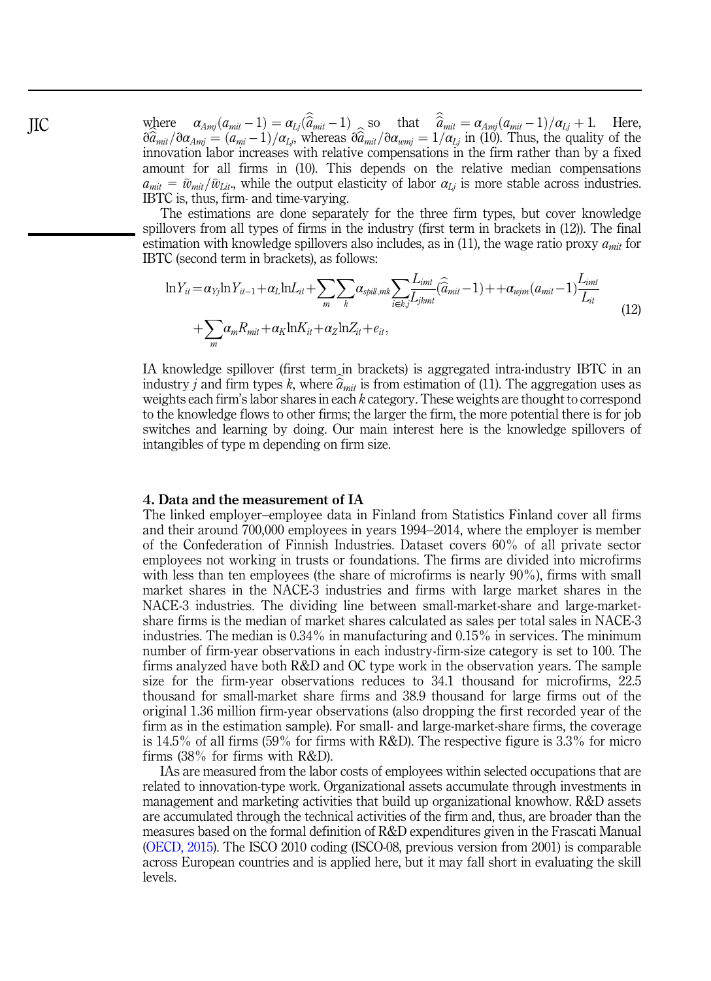where  $\alpha_{Amj}(a_{mit}-1) = \alpha_{Lj}(\hat{a}_{mit}-1)$  so that  $\hat{a}_{mit} = \alpha_{Amj}(a_{mit}-1)/\alpha_{Lj} + 1$ . Here,  $\partial \hat{a}_{mit}/\partial \alpha_{Amj} = (a_{mi}-1)/\alpha_{Lj}$ , whereas  $\partial \hat{a}_{mit}/\partial \alpha_{wmj} = 1/\alpha_{Lj}$  in (10). Thus, the quality of the innovation labor increases with relative compensations in the firm rather than by a fixed amount for all firms in (10). This depends on the relative median compensations  $a_{mit} = \bar{w}_{mit}/\bar{w}_{Lit}$ , while the output elasticity of labor  $\alpha_{Li}$  is more stable across industries. IBTC is, thus, firm- and time-varying.

The estimations are done separately for the three firm types, but cover knowledge spillovers from all types of firms in the industry (first term in brackets in (12)). The final estimation with knowledge spillovers also includes, as in (11), the wage ratio proxy  $a<sub>mit</sub>$  for IBTC (second term in brackets), as follows:

$$
\ln Y_{it} = \alpha_{Yj} \ln Y_{it-1} + \alpha_L \ln L_{it} + \sum_m \sum_k \alpha_{split,mk} \sum_{i \in k,j} \overline{L_{jkmt}} (\hat{a}_{mit} - 1) + + \alpha_{wjm} (a_{mit} - 1) \frac{L_{imt}}{L_{it}} + \sum_m \alpha_m R_{mit} + \alpha_K \ln K_{it} + \alpha_Z \ln Z_{it} + e_{it},
$$
\n(12)

IA knowledge spillover (first term in brackets) is aggregated intra-industry IBTC in an industry j and firm types k, where  $\hat{a}_{mit}$  is from estimation of (11). The aggregation uses as weights each firm's labor shares in each k category. These weights are thought to correspond to the knowledge flows to other firms; the larger the firm, the more potential there is for job switches and learning by doing. Our main interest here is the knowledge spillovers of intangibles of type m depending on firm size.

#### 4. Data and the measurement of IA

The linked employer–employee data in Finland from Statistics Finland cover all firms and their around 700,000 employees in years 1994–2014, where the employer is member of the Confederation of Finnish Industries. Dataset covers 60% of all private sector employees not working in trusts or foundations. The firms are divided into microfirms with less than ten employees (the share of microfirms is nearly 90%), firms with small market shares in the NACE-3 industries and firms with large market shares in the NACE-3 industries. The dividing line between small-market-share and large-marketshare firms is the median of market shares calculated as sales per total sales in NACE-3 industries. The median is 0.34% in manufacturing and 0.15% in services. The minimum number of firm-year observations in each industry-firm-size category is set to 100. The firms analyzed have both R&D and OC type work in the observation years. The sample size for the firm-year observations reduces to 34.1 thousand for microfirms, 22.5 thousand for small-market share firms and 38.9 thousand for large firms out of the original 1.36 million firm-year observations (also dropping the first recorded year of the firm as in the estimation sample). For small- and large-market-share firms, the coverage is  $14.5\%$  of all firms (59% for firms with R&D). The respective figure is 3.3% for micro firms (38% for firms with R&D).

IAs are measured from the labor costs of employees within selected occupations that are related to innovation-type work. Organizational assets accumulate through investments in management and marketing activities that build up organizational knowhow. R&D assets are accumulated through the technical activities of the firm and, thus, are broader than the measures based on the formal definition of R&D expenditures given in the Frascati Manual ([OECD, 2015\)](#page-17-0). The ISCO 2010 coding (ISCO-08, previous version from 2001) is comparable across European countries and is applied here, but it may fall short in evaluating the skill levels.

<span id="page-7-0"></span>JIC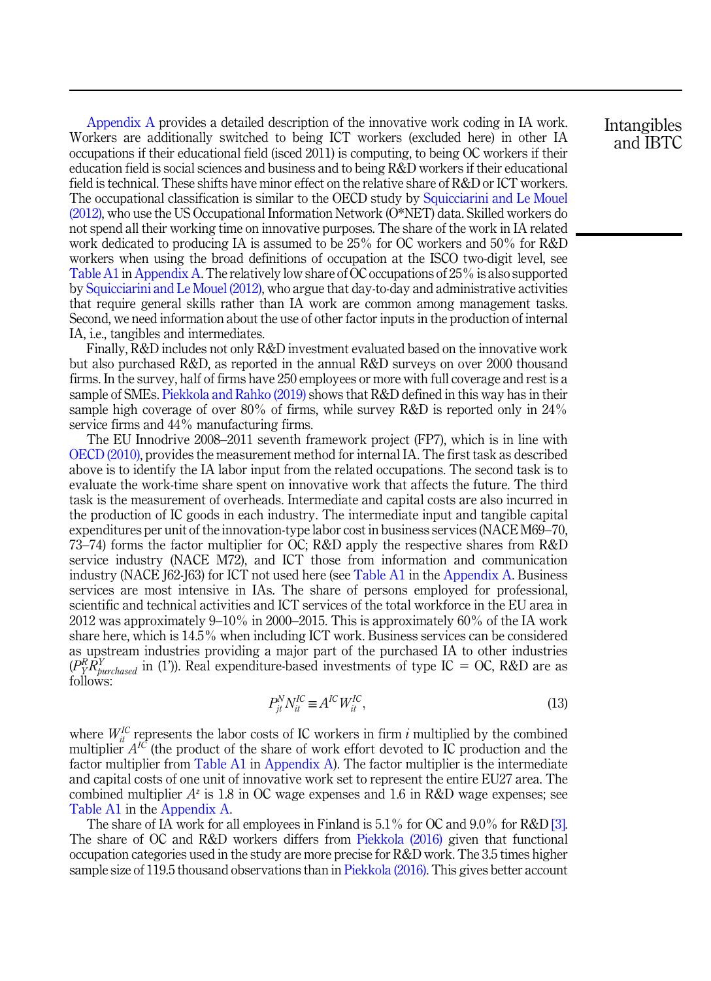[Appendix A](#page-18-0) provides a detailed description of the innovative work coding in IA work. Workers are additionally switched to being ICT workers (excluded here) in other IA occupations if their educational field (isced 2011) is computing, to being OC workers if their education field is social sciences and business and to being R&D workers if their educational field is technical. These shifts have minor effect on the relative share of R&D or ICT workers. The occupational classification is similar to the OECD study by [Squicciarini and Le Mouel](#page-18-0) [\(2012\),](#page-18-0) who use the US Occupational Information Network (O\*NET) data. Skilled workers do not spend all their working time on innovative purposes. The share of the work in IA related work dedicated to producing IA is assumed to be 25% for OC workers and 50% for R&D workers when using the broad definitions of occupation at the ISCO two-digit level, see Table A1 in [Appendix A](#page-18-0). The relatively low share of OC occupations of 25% is also supported by [Squicciarini and Le Mouel \(2012\),](#page-18-0) who argue that day-to-day and administrative activities that require general skills rather than IA work are common among management tasks. Second, we need information about the use of other factor inputs in the production of internal IA, i.e., tangibles and intermediates.

Finally, R&D includes not only R&D investment evaluated based on the innovative work but also purchased R&D, as reported in the annual R&D surveys on over 2000 thousand firms. In the survey, half of firms have 250 employees or more with full coverage and rest is a sample of SMEs. [Piekkola and Rahko \(2019\)](#page-17-0) shows that R&D defined in this way has in their sample high coverage of over 80% of firms, while survey R&D is reported only in 24% service firms and 44% manufacturing firms.

The EU Innodrive 2008–2011 seventh framework project (FP7), which is in line with [OECD \(2010\)](#page-17-0), provides the measurement method for internal IA. The first task as described above is to identify the IA labor input from the related occupations. The second task is to evaluate the work-time share spent on innovative work that affects the future. The third task is the measurement of overheads. Intermediate and capital costs are also incurred in the production of IC goods in each industry. The intermediate input and tangible capital expenditures per unit of the innovation-type labor cost in business services (NACE M69–70, 73–74) forms the factor multiplier for OC; R&D apply the respective shares from R&D service industry (NACE M72), and ICT those from information and communication industry (NACE J62-J63) for ICT not used here (see Table A1 in the [Appendix A](#page-18-0). Business services are most intensive in IAs. The share of persons employed for professional, scientific and technical activities and ICT services of the total workforce in the EU area in 2012 was approximately 9–10% in 2000–2015. This is approximately 60% of the IA work share here, which is 14.5% when including ICT work. Business services can be considered as upstream industries providing a major part of the purchased IA to other industries  $(P_K^R \overline{R}_{burchased}^Y$  in (1')). Real expenditure-based investments of type IC = OC, R&D are as follows:

$$
P_{jt}^{N} N_{it}^{IC} \equiv A^{IC} W_{it}^{IC},\tag{13}
$$

where  $W_{it}^{IC}$  represents the labor costs of IC workers in firm i multiplied by the combined multiplier  $A^{IC}$  (the product of the share of work effort devoted to IC production and the factor multiplier from Table A1 in [Appendix A](#page-18-0)). The factor multiplier is the intermediate and capital costs of one unit of innovative work set to represent the entire EU27 area. The combined multiplier  $A^z$  is 1.8 in OC wage expenses and 1.6 in R&D wage expenses; see Table A1 in the [Appendix A](#page-18-0).

The share of IA work for all employees in Finland is 5.1% for OC and 9.0% for R&D [\[3\]](#page-15-0). The share of OC and R&D workers differs from [Piekkola \(2016\)](#page-17-0) given that functional occupation categories used in the study are more precise for R&D work. The 3.5 times higher sample size of 119.5 thousand observations than in [Piekkola \(2016\).](#page-17-0) This gives better account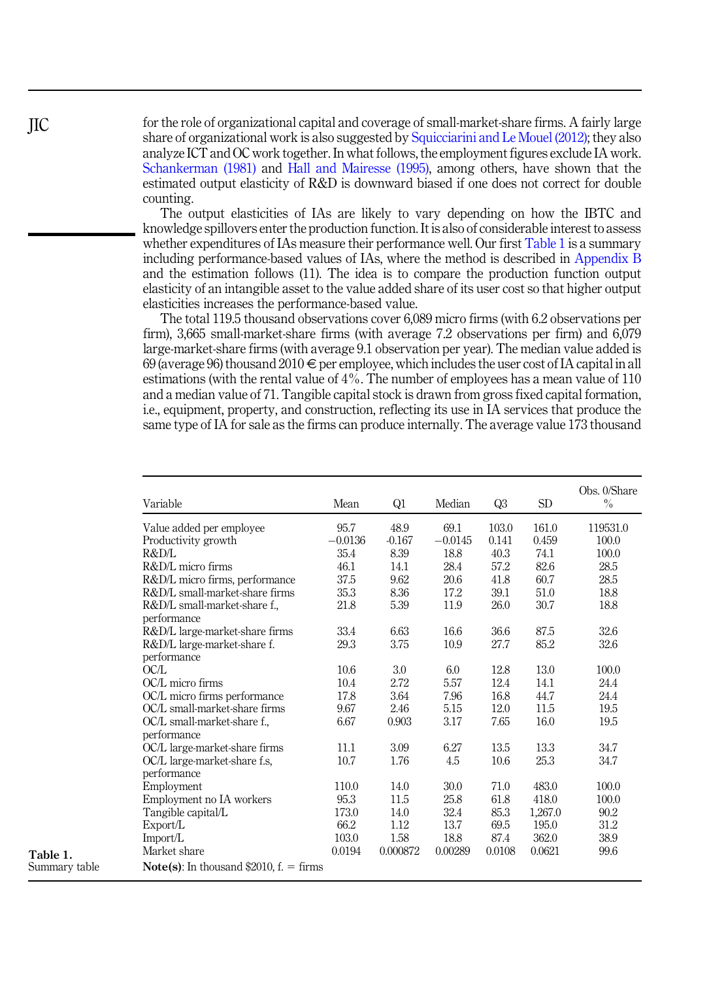for the role of organizational capital and coverage of small-market-share firms. A fairly large share of organizational work is also suggested by [Squicciarini and Le Mouel \(2012\);](#page-18-0) they also analyze ICT and OC work together. In what follows, the employment figures exclude IA work. [Schankerman \(1981\)](#page-18-0) and [Hall and Mairesse \(1995\),](#page-16-0) among others, have shown that the estimated output elasticity of R&D is downward biased if one does not correct for double counting.

The output elasticities of IAs are likely to vary depending on how the IBTC and knowledge spillovers enter the production function. It is also of considerable interest to assess whether expenditures of IAs measure their performance well. Our first Table 1 is a summary including performance-based values of IAs, where the method is described in [Appendix B](#page-20-0) and the estimation follows (11). The idea is to compare the production function output elasticity of an intangible asset to the value added share of its user cost so that higher output elasticities increases the performance-based value.

The total 119.5 thousand observations cover 6,089 micro firms (with 6.2 observations per firm), 3,665 small-market-share firms (with average 7.2 observations per firm) and 6,079 large-market-share firms (with average 9.1 observation per year). The median value added is 69 (average 96) thousand 2010  $\in$  per employee, which includes the user cost of IA capital in all estimations (with the rental value of 4%. The number of employees has a mean value of 110 and a median value of 71. Tangible capital stock is drawn from gross fixed capital formation, i.e., equipment, property, and construction, reflecting its use in IA services that produce the same type of IA for sale as the firms can produce internally. The average value 173 thousand

| Variable                                          | Mean      | Q1       | Median    | Q <sub>3</sub> | SD      | Obs. 0/Share<br>$\frac{0}{0}$ |
|---------------------------------------------------|-----------|----------|-----------|----------------|---------|-------------------------------|
| Value added per employee                          | 95.7      | 48.9     | 69.1      | 103.0          | 161.0   | 119531.0                      |
| Productivity growth                               | $-0.0136$ | $-0.167$ | $-0.0145$ | 0.141          | 0.459   | 100.0                         |
| R&D/L                                             | 35.4      | 8.39     | 18.8      | 40.3           | 74.1    | 100.0                         |
| R&D/L micro firms                                 | 46.1      | 14.1     | 28.4      | 57.2           | 82.6    | 28.5                          |
| R&D/L micro firms, performance                    | 37.5      | 9.62     | 20.6      | 41.8           | 60.7    | 28.5                          |
| R&D/L small-market-share firms                    | 35.3      | 8.36     | 17.2      | 39.1           | 51.0    | 18.8                          |
| R&D/L small-market-share f.,<br>performance       | 21.8      | 5.39     | 11.9      | 26.0           | 30.7    | 18.8                          |
| R&D/L large-market-share firms                    | 33.4      | 6.63     | 16.6      | 36.6           | 87.5    | 32.6                          |
| R&D/L large-market-share f.                       | 29.3      | 3.75     | 10.9      | 27.7           | 85.2    | 32.6                          |
| performance<br>OCL                                |           |          |           |                |         |                               |
| OC/L micro firms                                  | 10.6      | 3.0      | 6.0       | 12.8           | 13.0    | 100.0                         |
|                                                   | 10.4      | 2.72     | 5.57      | 12.4           | 14.1    | 24.4                          |
| OC/L micro firms performance                      | 17.8      | 3.64     | 7.96      | 16.8           | 44.7    | 24.4                          |
| OC/L small-market-share firms                     | 9.67      | 2.46     | 5.15      | 12.0           | 11.5    | 19.5                          |
| OC/L small-market-share f.,                       | 6.67      | 0.903    | 3.17      | 7.65           | 16.0    | 19.5                          |
| performance                                       |           |          |           |                |         |                               |
| OC/L large-market-share firms                     | 11.1      | 3.09     | 6.27      | 13.5           | 13.3    | 34.7                          |
| OC/L large-market-share f.s.<br>performance       | 10.7      | 1.76     | 4.5       | 10.6           | 25.3    | 34.7                          |
| Employment                                        | 110.0     | 14.0     | 30.0      | 71.0           | 483.0   | 100.0                         |
| Employment no IA workers                          | 95.3      | 11.5     | 25.8      | 61.8           | 418.0   | 100.0                         |
| Tangible capital/L                                | 173.0     | 14.0     | 32.4      | 85.3           | 1,267.0 | 90.2                          |
| Export/L                                          | 66.2      | 1.12     | 13.7      | 69.5           | 195.0   | 31.2                          |
| Import/L                                          | 103.0     | 1.58     | 18.8      | 87.4           | 362.0   | 38.9                          |
| Market share                                      | 0.0194    | 0.000872 | 0.00289   | 0.0108         | 0.0621  | 99.6                          |
| <b>Note(s):</b> In thousand \$2010, $f = f$ firms |           |          |           |                |         |                               |

<span id="page-9-0"></span>JIC

Table 1. Summary table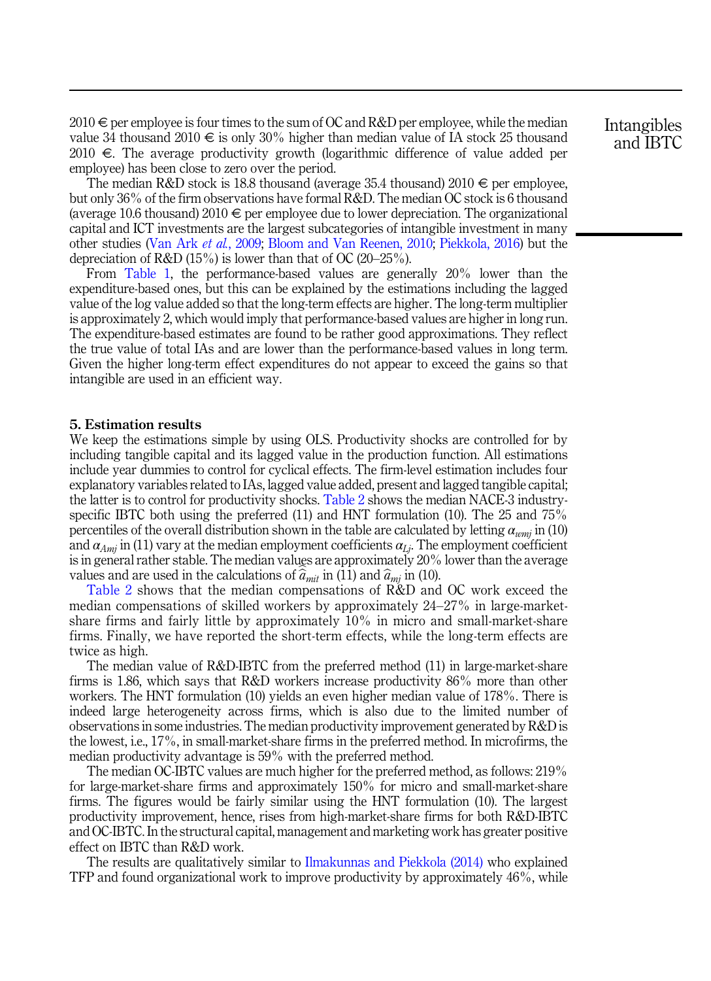<span id="page-10-0"></span> $2010 \in \text{per}$  employee is four times to the sum of OC and R&D per employee, while the median value 34 thousand 2010  $\epsilon$  is only 30% higher than median value of IA stock 25 thousand 2010  $\epsilon$ . The average productivity growth (logarithmic difference of value added per employee) has been close to zero over the period.

The median R&D stock is 18.8 thousand (average 35.4 thousand)  $2010 \in \text{per employee}$ , but only 36% of the firm observations have formal R&D. The median OC stock is 6 thousand (average 10.6 thousand) 2010  $\epsilon$  per employee due to lower depreciation. The organizational capital and ICT investments are the largest subcategories of intangible investment in many other studies [\(Van Ark](#page-18-0) et al., 2009; [Bloom and Van Reenen, 2010](#page-16-0); [Piekkola, 2016\)](#page-17-0) but the depreciation of R&D (15%) is lower than that of OC (20–25%).

From [Table 1](#page-9-0), the performance-based values are generally 20% lower than the expenditure-based ones, but this can be explained by the estimations including the lagged value of the log value added so that the long-term effects are higher. The long-term multiplier is approximately 2, which would imply that performance-based values are higher in long run. The expenditure-based estimates are found to be rather good approximations. They reflect the true value of total IAs and are lower than the performance-based values in long term. Given the higher long-term effect expenditures do not appear to exceed the gains so that intangible are used in an efficient way.

#### 5. Estimation results

We keep the estimations simple by using OLS. Productivity shocks are controlled for by including tangible capital and its lagged value in the production function. All estimations include year dummies to control for cyclical effects. The firm-level estimation includes four explanatory variables related to IAs, lagged value added, present and lagged tangible capital; the latter is to control for productivity shocks. [Table 2](#page-11-0) shows the median NACE-3 industryspecific IBTC both using the preferred (11) and HNT formulation (10). The 25 and  $75\%$ percentiles of the overall distribution shown in the table are calculated by letting  $\alpha_{wmi}$  in (10) and  $\alpha_{Ami}$  in (11) vary at the median employment coefficients  $\alpha_{Li}$ . The employment coefficient is in general rather stable. The median values are approximately 20% lower than the average values and are used in the calculations of  $\hat{a}_{mit}$  in (11) and  $\hat{a}_{mit}$  in (10).

[Table 2](#page-11-0) shows that the median compensations of R&D and OC work exceed the median compensations of skilled workers by approximately 24–27% in large-marketshare firms and fairly little by approximately 10% in micro and small-market-share firms. Finally, we have reported the short-term effects, while the long-term effects are twice as high.

The median value of R&D-IBTC from the preferred method (11) in large-market-share firms is 1.86, which says that R&D workers increase productivity 86% more than other workers. The HNT formulation (10) yields an even higher median value of 178%. There is indeed large heterogeneity across firms, which is also due to the limited number of observations in some industries. The median productivity improvement generated by R&D is the lowest, i.e., 17%, in small-market-share firms in the preferred method. In microfirms, the median productivity advantage is 59% with the preferred method.

The median OC-IBTC values are much higher for the preferred method, as follows: 219% for large-market-share firms and approximately 150% for micro and small-market-share firms. The figures would be fairly similar using the HNT formulation (10). The largest productivity improvement, hence, rises from high-market-share firms for both R&D-IBTC and OC-IBTC. In the structural capital, management and marketing work has greater positive effect on IBTC than R&D work.

The results are qualitatively similar to [Ilmakunnas and Piekkola \(2014\)](#page-17-0) who explained TFP and found organizational work to improve productivity by approximately 46%, while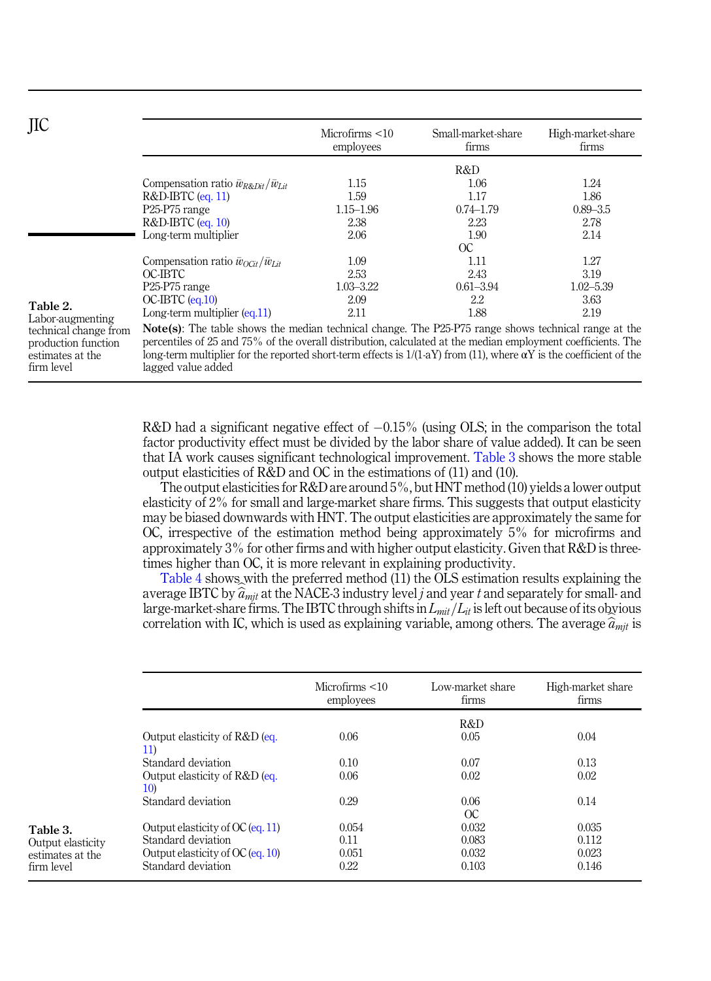<span id="page-11-0"></span>

| JIC                                                                                              |                                                                                                                                                                                                                                                                                                                                                             | Microfirms $<$ 10<br>employees | Small-market-share<br>firms | High-market-share<br>firms |  |
|--------------------------------------------------------------------------------------------------|-------------------------------------------------------------------------------------------------------------------------------------------------------------------------------------------------------------------------------------------------------------------------------------------------------------------------------------------------------------|--------------------------------|-----------------------------|----------------------------|--|
|                                                                                                  |                                                                                                                                                                                                                                                                                                                                                             |                                | R&D                         |                            |  |
|                                                                                                  | Compensation ratio $\bar{w}_{R\&Dit}/\bar{w}_{Lit}$                                                                                                                                                                                                                                                                                                         | 1.15                           | 1.06                        | 1.24                       |  |
|                                                                                                  | $R&D-BTC$ (eq. 11)                                                                                                                                                                                                                                                                                                                                          | 1.59                           | 1.17                        | 1.86                       |  |
|                                                                                                  | P <sub>25</sub> -P <sub>75</sub> range                                                                                                                                                                                                                                                                                                                      | $1.15 - 1.96$                  | $0.74 - 1.79$               | $0.89 - 3.5$               |  |
|                                                                                                  | $R&D-BTC$ (eq. 10)                                                                                                                                                                                                                                                                                                                                          | 2.38                           | 2.23                        | 2.78                       |  |
|                                                                                                  | Long-term multiplier                                                                                                                                                                                                                                                                                                                                        | 2.06                           | 1.90                        | 2.14                       |  |
|                                                                                                  |                                                                                                                                                                                                                                                                                                                                                             |                                | $\alpha$                    |                            |  |
| Table 2.<br>Labor-augmenting<br>technical change from<br>production function<br>estimates at the | Compensation ratio $\bar{w}_{O\tilde{G}t}/\bar{w}_{Lit}$                                                                                                                                                                                                                                                                                                    | 1.09                           | 1.11                        | 1.27                       |  |
|                                                                                                  | OC-IBTC                                                                                                                                                                                                                                                                                                                                                     | 2.53                           | 2.43                        | 3.19                       |  |
|                                                                                                  | P <sub>25</sub> -P <sub>75</sub> range                                                                                                                                                                                                                                                                                                                      | 1.03–3.22                      | $0.61 - 3.94$               | $1.02 - 5.39$              |  |
|                                                                                                  | $OC-BTC$ (eq.10)                                                                                                                                                                                                                                                                                                                                            | 2.09                           | 2.2                         | 3.63                       |  |
|                                                                                                  | Long-term multiplier $(eq.11)$                                                                                                                                                                                                                                                                                                                              | 2.11                           | 1.88                        | 2.19                       |  |
|                                                                                                  | <b>Note(s):</b> The table shows the median technical change. The P25-P75 range shows technical range at the<br>percentiles of 25 and 75% of the overall distribution, calculated at the median employment coefficients. The<br>long-term multiplier for the reported short-term effects is $1/(1-aY)$ from (11), where $\alpha Y$ is the coefficient of the |                                |                             |                            |  |

lagged value added

firm level

Table 3. Output elasticity estimates at the firm level

 $R&D$  had a significant negative effect of  $-0.15\%$  (using OLS; in the comparison the total factor productivity effect must be divided by the labor share of value added). It can be seen that IA work causes significant technological improvement. Table 3 shows the more stable output elasticities of R&D and OC in the estimations of (11) and (10).

The output elasticities for  $R&D$  are around  $5\%$ , but HNT method (10) yields a lower output elasticity of 2% for small and large-market share firms. This suggests that output elasticity may be biased downwards with HNT. The output elasticities are approximately the same for OC, irrespective of the estimation method being approximately 5% for microfirms and approximately 3% for other firms and with higher output elasticity. Given that R&D is threetimes higher than OC, it is more relevant in explaining productivity.

[Table 4](#page-12-0) shows with the preferred method (11) the OLS estimation results explaining the average IBTC by  $\hat{a}_{mit}$  at the NACE-3 industry level j and year t and separately for small- and large-market-share firms. The IBTC through shifts in  $L<sub>mit</sub>/L<sub>it</sub>$  is left out because of its obvious correlation with IC, which is used as explaining variable, among others. The average  $\hat{a}_{mit}$  is

|                                      | Microfirms $<$ 10<br>employees | Low-market share<br>firms | High-market share<br>firms |
|--------------------------------------|--------------------------------|---------------------------|----------------------------|
|                                      |                                | R&D                       |                            |
| Output elasticity of R&D (eq.<br>11) | 0.06                           | 0.05                      | 0.04                       |
| Standard deviation                   | 0.10                           | 0.07                      | 0.13                       |
| Output elasticity of R&D (eq.<br>10) | 0.06                           | 0.02                      | 0.02                       |
| Standard deviation                   | 0.29                           | 0.06<br>OC                | 0.14                       |
| Output elasticity of $OC$ (eq. 11)   | 0.054                          | 0.032                     | 0.035                      |
| Standard deviation                   | 0.11                           | 0.083                     | 0.112                      |
| Output elasticity of $OC$ (eq. 10)   | 0.051                          | 0.032                     | 0.023                      |
| Standard deviation                   | 0.22                           | 0.103                     | 0.146                      |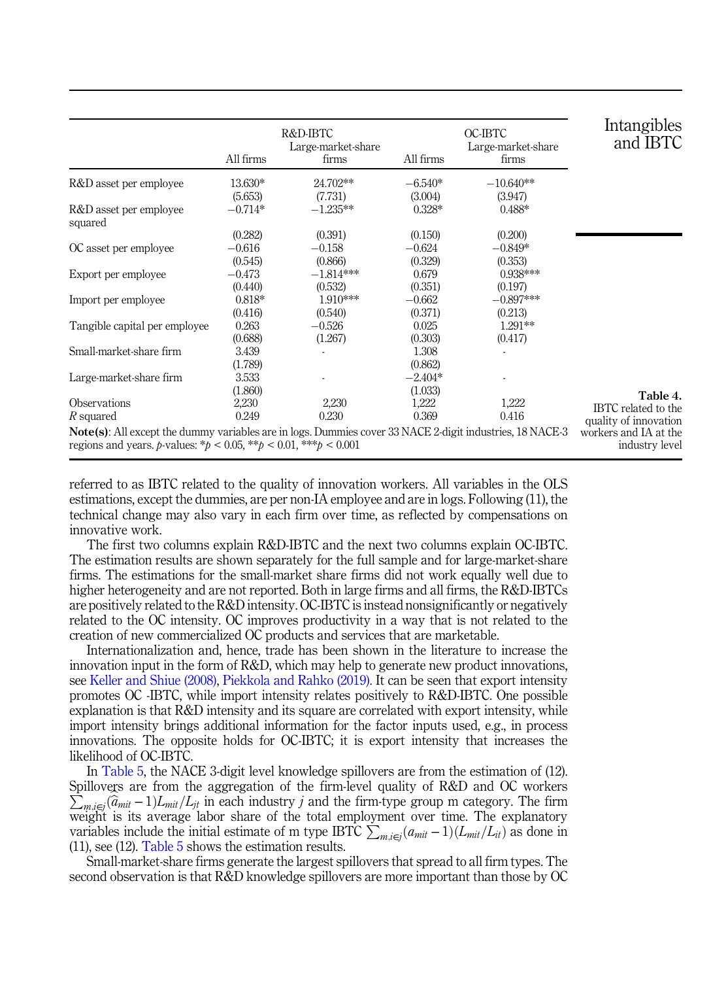<span id="page-12-0"></span>

|                                                                                                                                                                                                                      | All firms                      | R&D-IBTC<br>Large-market-share<br>firms | All firms                      | OC-IBTC<br>Large-market-share<br>firms | Intangibles<br>and IBTC                      |
|----------------------------------------------------------------------------------------------------------------------------------------------------------------------------------------------------------------------|--------------------------------|-----------------------------------------|--------------------------------|----------------------------------------|----------------------------------------------|
| R&D asset per employee                                                                                                                                                                                               | 13.630*                        | 24.702**                                | $-6.540*$                      | $-10.640**$                            |                                              |
| R&D asset per employee<br>squared                                                                                                                                                                                    | (5.653)<br>$-0.714*$           | (7.731)<br>$-1.235**$                   | (3.004)<br>$0.328*$            | (3.947)<br>$0.488*$                    |                                              |
| OC asset per employee                                                                                                                                                                                                | (0.282)<br>$-0.616$            | (0.391)<br>$-0.158$                     | (0.150)<br>$-0.624$            | (0.200)<br>$-0.849*$                   |                                              |
| Export per employee                                                                                                                                                                                                  | (0.545)<br>$-0.473$<br>(0.440) | (0.866)<br>$-1.814***$<br>(0.532)       | (0.329)<br>0.679               | (0.353)<br>0.938***<br>(0.197)         |                                              |
| Import per employee                                                                                                                                                                                                  | $0.818*$<br>(0.416)            | $1.910***$<br>(0.540)                   | (0.351)<br>$-0.662$<br>(0.371) | $-0.897***$<br>(0.213)                 |                                              |
| Tangible capital per employee                                                                                                                                                                                        | 0.263<br>(0.688)               | $-0.526$<br>(1.267)                     | 0.025<br>(0.303)               | 1.291**<br>(0.417)                     |                                              |
| Small-market-share firm                                                                                                                                                                                              | 3.439<br>(1.789)               |                                         | 1.308<br>(0.862)               |                                        |                                              |
| Large-market-share firm                                                                                                                                                                                              | 3.533<br>(1.860)               |                                         | $-2.404*$<br>(1.033)           |                                        | Table 4.                                     |
| <b>Observations</b><br>R squared                                                                                                                                                                                     | 2,230<br>0.249                 | 2,230<br>0.230                          | 1,222<br>0.369                 | 1,222<br>0.416                         | IBTC related to the<br>quality of innovation |
| <b>Note(s)</b> : All except the dummy variables are in logs. Dummies cover 33 NACE 2-digit industries, 18 NACE-3<br>regions and years. <i>b</i> -values: * <i>b</i> < 0.05, ** <i>b</i> < 0.01, *** <i>b</i> < 0.001 |                                |                                         |                                |                                        | workers and IA at the<br>industry level      |

referred to as IBTC related to the quality of innovation workers. All variables in the OLS estimations, except the dummies, are per non-IA employee and are in logs. Following (11), the technical change may also vary in each firm over time, as reflected by compensations on innovative work.

The first two columns explain R&D-IBTC and the next two columns explain OC-IBTC. The estimation results are shown separately for the full sample and for large-market-share firms. The estimations for the small-market share firms did not work equally well due to higher heterogeneity and are not reported. Both in large firms and all firms, the R&D-IBTCs are positively related to the R&D intensity. OC-IBTC is instead nonsignificantly or negatively related to the OC intensity. OC improves productivity in a way that is not related to the creation of new commercialized OC products and services that are marketable.

Internationalization and, hence, trade has been shown in the literature to increase the innovation input in the form of R&D, which may help to generate new product innovations, see [Keller and Shiue \(2008\)](#page-17-0), [Piekkola and Rahko \(2019\).](#page-17-0) It can be seen that export intensity promotes OC -IBTC, while import intensity relates positively to R&D-IBTC. One possible explanation is that R&D intensity and its square are correlated with export intensity, while import intensity brings additional information for the factor inputs used, e.g., in process innovations. The opposite holds for OC-IBTC; it is export intensity that increases the likelihood of OC-IBTC.

In [Table 5,](#page-13-0) the NACE 3-digit level knowledge spillovers are from the estimation of (12). Spillovers are from the aggregation of the firm-level quality of R&D and OC workers  $\sum_{m,i\in j}(\widehat{a}_{mit}-1)L_{mit}/L_{jt}$  in each industry j and the firm-type group m category. The firm weight is its average labor share of the total employment over time. The explanatory variables include the initial estimate of m type IBTC  $\sum_{m,i\in j} (a_{mit} - 1)(L_{mit}/L_{it})$  as done in (11), see (12). [Table 5](#page-13-0) shows the estimation results.

Small-market-share firms generate the largest spillovers that spread to all firm types. The second observation is that R&D knowledge spillovers are more important than those by OC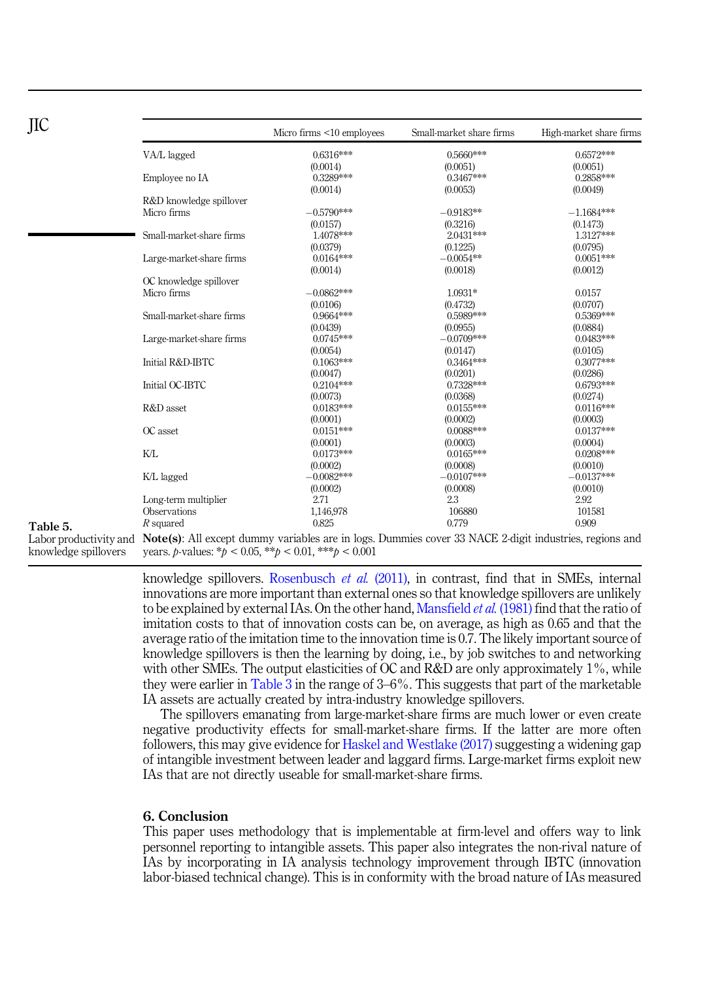|        |                          | Micro firms <10 employees                                                                                                          | Small-market share firms | High-market share firms  |
|--------|--------------------------|------------------------------------------------------------------------------------------------------------------------------------|--------------------------|--------------------------|
|        | VA/L lagged              | 0.6316***                                                                                                                          | 0.5660***                | $0.6572***$              |
|        |                          | (0.0014)                                                                                                                           | (0.0051)                 | (0.0051)                 |
|        | Employee no IA           | 0.3289***                                                                                                                          | 0.3467***                | 0.2858***                |
|        |                          | (0.0014)                                                                                                                           | (0.0053)                 | (0.0049)                 |
|        | R&D knowledge spillover  |                                                                                                                                    |                          |                          |
|        | Micro firms              | $-0.5790***$                                                                                                                       | $-0.9183**$              | $-1.1684***$             |
|        |                          | (0.0157)                                                                                                                           | (0.3216)                 | (0.1473)                 |
|        | Small-market-share firms | 1.4078***                                                                                                                          | 2.0431***                | 1.3127***                |
|        |                          | (0.0379)                                                                                                                           | (0.1225)                 | (0.0795)                 |
|        | Large-market-share firms | $0.0164***$                                                                                                                        | $-0.0054**$              | $0.0051***$              |
|        |                          | (0.0014)                                                                                                                           | (0.0018)                 | (0.0012)                 |
|        | OC knowledge spillover   |                                                                                                                                    |                          |                          |
|        | Micro firms              | $-0.0862***$                                                                                                                       | 1.0931*                  | 0.0157                   |
|        |                          | (0.0106)                                                                                                                           | (0.4732)                 | (0.0707)                 |
|        | Small-market-share firms | 0.9664***                                                                                                                          | 0.5989***                | 0.5369***                |
|        |                          | (0.0439)                                                                                                                           | (0.0955)                 | (0.0884)                 |
|        | Large-market-share firms | $0.0745***$                                                                                                                        | $-0.0709***$             | $0.0483***$              |
|        |                          | (0.0054)                                                                                                                           | (0.0147)                 | (0.0105)                 |
|        | Initial R&D-IBTC         | $0.1063***$                                                                                                                        | $0.3464***$              | 0.3077***                |
|        |                          | (0.0047)                                                                                                                           | (0.0201)                 | (0.0286)                 |
|        | Initial OC-IBTC          | $0.2104***$                                                                                                                        | 0.7328***                | 0.6793***                |
|        |                          | (0.0073)                                                                                                                           | (0.0368)                 | (0.0274)                 |
|        | R&D asset                | $0.0183***$                                                                                                                        | $0.0155***$              | $0.0116***$              |
|        |                          | (0.0001)                                                                                                                           | (0.0002)                 | (0.0003)                 |
|        | OC asset                 | $0.0151***$                                                                                                                        | $0.0088***$              | $0.0137***$              |
|        |                          | (0.0001)                                                                                                                           | (0.0003)                 | (0.0004)                 |
|        | K/L                      | $0.0173***$                                                                                                                        | $0.0165***$              | $0.0208***$              |
|        |                          |                                                                                                                                    | (0.0008)                 |                          |
|        |                          | (0.0002)<br>$-0.0082***$                                                                                                           | $-0.0107***$             | (0.0010)<br>$-0.0137***$ |
|        | K/L lagged               |                                                                                                                                    |                          |                          |
|        |                          | (0.0002)                                                                                                                           | (0.0008)                 | (0.0010)                 |
|        | Long-term multiplier     | 2.71                                                                                                                               | 2.3                      | 2.92                     |
|        | Observations             | 1,146,978                                                                                                                          | 106880                   | 101581                   |
| ble 5. | $R$ squared              | 0.825                                                                                                                              | 0.779                    | 0.909                    |
|        |                          | or productivity and $\Delta$ Note(s): All except dummy variables are in logs. Dummies cover 33 NACE 2-digit industries regions and |                          |                          |

# <span id="page-13-0"></span>JIC

Tab

Labor productivity and knowledge spillovers

Note(s): All except dummy variables are in logs. Dummies cover 33 NACE 2-digit industries, regions and years. *p*-values:  $* p < 0.05$ ,  $* p < 0.01$ ,  $* p < 0.001$ 

knowledge spillovers. [Rosenbusch](#page-17-0) *et al.*  $(2011)$ , in contrast, find that in SMEs, internal innovations are more important than external ones so that knowledge spillovers are unlikely to be explained by external IAs. On the other hand, [Mansfield](#page-17-0) *et al.* (1981) find that the ratio of imitation costs to that of innovation costs can be, on average, as high as 0.65 and that the average ratio of the imitation time to the innovation time is 0.7. The likely important source of knowledge spillovers is then the learning by doing, i.e., by job switches to and networking with other SMEs. The output elasticities of OC and R&D are only approximately 1%, while they were earlier in [Table 3](#page-11-0) in the range of 3–6%. This suggests that part of the marketable IA assets are actually created by intra-industry knowledge spillovers.

The spillovers emanating from large-market-share firms are much lower or even create negative productivity effects for small-market-share firms. If the latter are more often followers, this may give evidence for [Haskel and Westlake \(2017\)](#page-16-0) suggesting a widening gap of intangible investment between leader and laggard firms. Large-market firms exploit new IAs that are not directly useable for small-market-share firms.

# 6. Conclusion

This paper uses methodology that is implementable at firm-level and offers way to link personnel reporting to intangible assets. This paper also integrates the non-rival nature of IAs by incorporating in IA analysis technology improvement through IBTC (innovation labor-biased technical change). This is in conformity with the broad nature of IAs measured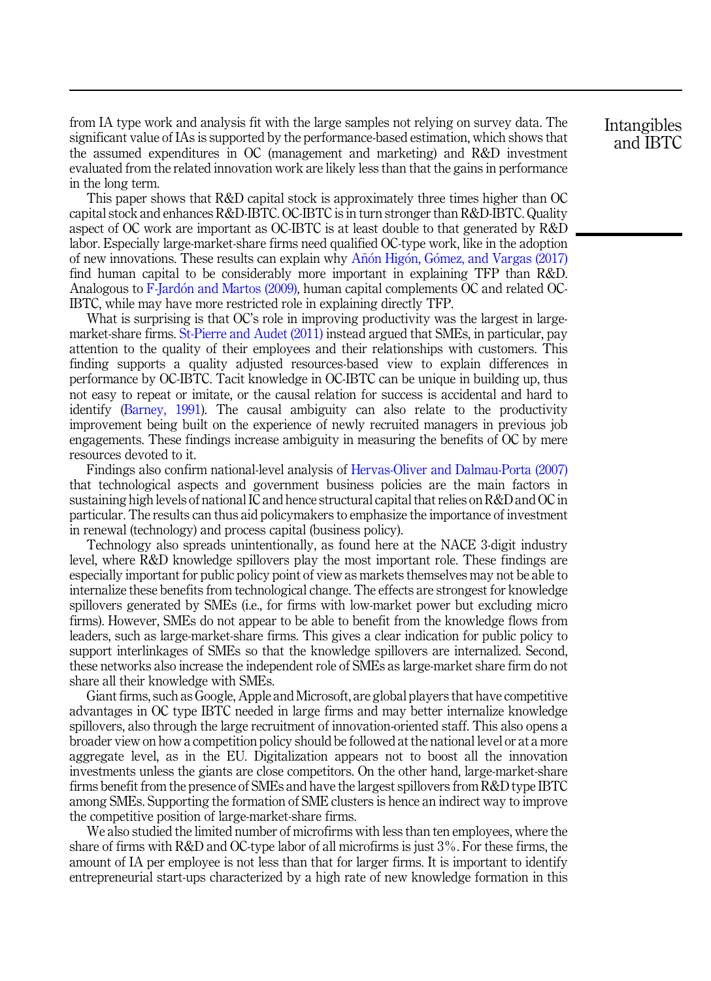from IA type work and analysis fit with the large samples not relying on survey data. The significant value of IAs is supported by the performance-based estimation, which shows that the assumed expenditures in OC (management and marketing) and R&D investment evaluated from the related innovation work are likely less than that the gains in performance in the long term.

This paper shows that R&D capital stock is approximately three times higher than OC capital stock and enhances R&D-IBTC. OC-IBTC is in turn stronger than R&D-IBTC. Quality aspect of OC work are important as OC-IBTC is at least double to that generated by R&D labor. Especially large-market-share firms need qualified OC-type work, like in the adoption of new innovations. These results can explain why  $\widehat{An}$  $\widehat{An}$  $\widehat{An}$  Higón, Gómez, and Vargas (2017) find human capital to be considerably more important in explaining TFP than R&D. Analogous to [F-Jard](#page-16-0)o[n and Martos \(2009\)](#page-16-0), human capital complements OC and related OC-IBTC, while may have more restricted role in explaining directly TFP.

What is surprising is that OC's role in improving productivity was the largest in largemarket-share firms. [St-Pierre and Audet \(2011\)](#page-18-0) instead argued that SMEs, in particular, pay attention to the quality of their employees and their relationships with customers. This finding supports a quality adjusted resources-based view to explain differences in performance by OC-IBTC. Tacit knowledge in OC-IBTC can be unique in building up, thus not easy to repeat or imitate, or the causal relation for success is accidental and hard to identify [\(Barney, 1991\)](#page-15-0). The causal ambiguity can also relate to the productivity improvement being built on the experience of newly recruited managers in previous job engagements. These findings increase ambiguity in measuring the benefits of OC by mere resources devoted to it.

Findings also confirm national-level analysis of [Hervas-Oliver and Dalmau-Porta \(2007\)](#page-17-0) that technological aspects and government business policies are the main factors in sustaining high levels of national IC and hence structural capital that relies on R&D and OC in particular. The results can thus aid policymakers to emphasize the importance of investment in renewal (technology) and process capital (business policy).

Technology also spreads unintentionally, as found here at the NACE 3-digit industry level, where R&D knowledge spillovers play the most important role. These findings are especially important for public policy point of view as markets themselves may not be able to internalize these benefits from technological change. The effects are strongest for knowledge spillovers generated by SMEs (i.e., for firms with low-market power but excluding micro firms). However, SMEs do not appear to be able to benefit from the knowledge flows from leaders, such as large-market-share firms. This gives a clear indication for public policy to support interlinkages of SMEs so that the knowledge spillovers are internalized. Second, these networks also increase the independent role of SMEs as large-market share firm do not share all their knowledge with SMEs.

Giant firms, such as Google, Apple and Microsoft, are global players that have competitive advantages in OC type IBTC needed in large firms and may better internalize knowledge spillovers, also through the large recruitment of innovation-oriented staff. This also opens a broader view on how a competition policy should be followed at the national level or at a more aggregate level, as in the EU. Digitalization appears not to boost all the innovation investments unless the giants are close competitors. On the other hand, large-market-share firms benefit from the presence of SMEs and have the largest spillovers from R&D type IBTC among SMEs. Supporting the formation of SME clusters is hence an indirect way to improve the competitive position of large-market-share firms.

We also studied the limited number of microfirms with less than ten employees, where the share of firms with R&D and OC-type labor of all microfirms is just 3%. For these firms, the amount of IA per employee is not less than that for larger firms. It is important to identify entrepreneurial start-ups characterized by a high rate of new knowledge formation in this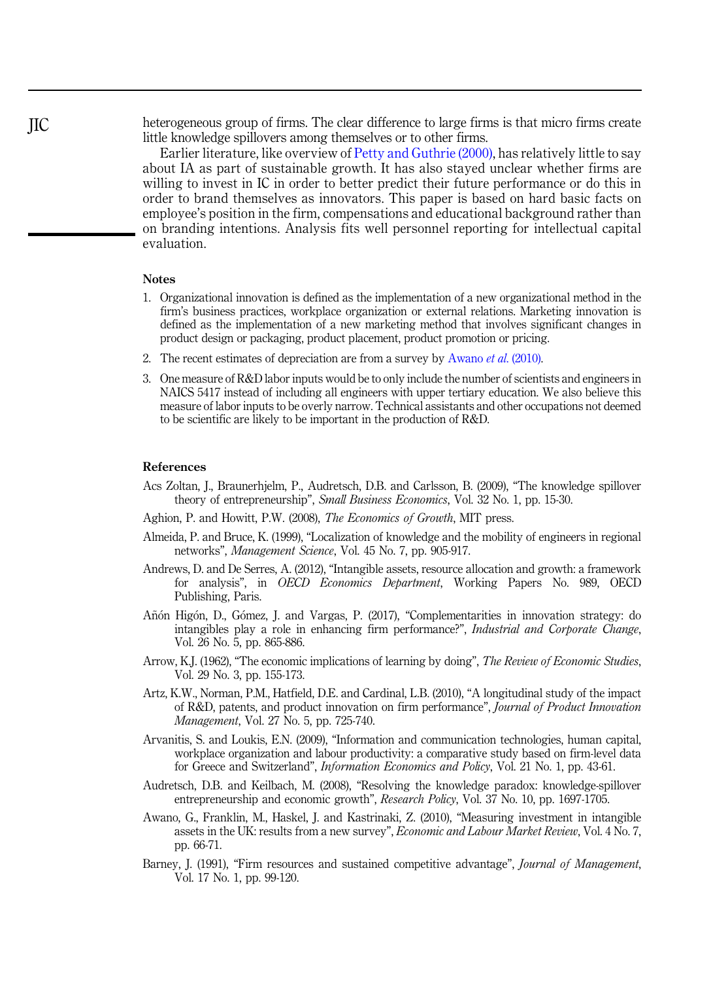<span id="page-15-0"></span>heterogeneous group of firms. The clear difference to large firms is that micro firms create little knowledge spillovers among themselves or to other firms.

Earlier literature, like overview of [Petty and Guthrie \(2000\)](#page-17-0), has relatively little to say about IA as part of sustainable growth. It has also stayed unclear whether firms are willing to invest in IC in order to better predict their future performance or do this in order to brand themselves as innovators. This paper is based on hard basic facts on employee's position in the firm, compensations and educational background rather than on branding intentions. Analysis fits well personnel reporting for intellectual capital evaluation.

# **Notes**

- 1. Organizational innovation is defined as the implementation of a new organizational method in the firm's business practices, workplace organization or external relations. Marketing innovation is defined as the implementation of a new marketing method that involves significant changes in product design or packaging, product placement, product promotion or pricing.
- 2. The recent estimates of depreciation are from a survey by Awano et al. (2010).
- 3. One measure of R&D labor inputs would be to only include the number of scientists and engineers in NAICS 5417 instead of including all engineers with upper tertiary education. We also believe this measure of labor inputs to be overly narrow. Technical assistants and other occupations not deemed to be scientific are likely to be important in the production of R&D.

#### References

- Acs Zoltan, J., Braunerhjelm, P., Audretsch, D.B. and Carlsson, B. (2009), "The knowledge spillover theory of entrepreneurship", Small Business Economics, Vol. 32 No. 1, pp. 15-30.
- Aghion, P. and Howitt, P.W. (2008), The Economics of Growth, MIT press.
- Almeida, P. and Bruce, K. (1999), "Localization of knowledge and the mobility of engineers in regional networks", Management Science, Vol. 45 No. 7, pp. 905-917.
- Andrews, D. and De Serres, A. (2012), "Intangible assets, resource allocation and growth: a framework for analysis", in OECD Economics Department, Working Papers No. 989, OECD Publishing, Paris.
- Añón Higón, D., Gómez, J. and Vargas, P. (2017), "Complementarities in innovation strategy: do intangibles play a role in enhancing firm performance?", Industrial and Corporate Change, Vol. 26 No. 5, pp. 865-886.
- Arrow, K.J. (1962), "The economic implications of learning by doing", The Review of Economic Studies, Vol. 29 No. 3, pp. 155-173.
- Artz, K.W., Norman, P.M., Hatfield, D.E. and Cardinal, L.B. (2010), "A longitudinal study of the impact of R&D, patents, and product innovation on firm performance", Journal of Product Innovation Management, Vol. 27 No. 5, pp. 725-740.
- Arvanitis, S. and Loukis, E.N. (2009), "Information and communication technologies, human capital, workplace organization and labour productivity: a comparative study based on firm-level data for Greece and Switzerland", Information Economics and Policy, Vol. 21 No. 1, pp. 43-61.
- Audretsch, D.B. and Keilbach, M. (2008), "Resolving the knowledge paradox: knowledge-spillover entrepreneurship and economic growth", Research Policy, Vol. 37 No. 10, pp. 1697-1705.
- Awano, G., Franklin, M., Haskel, J. and Kastrinaki, Z. (2010), "Measuring investment in intangible assets in the UK: results from a new survey", Economic and Labour Market Review, Vol. 4 No. 7, pp. 66-71.
- Barney, J. (1991), "Firm resources and sustained competitive advantage", Journal of Management, Vol. 17 No. 1, pp. 99-120.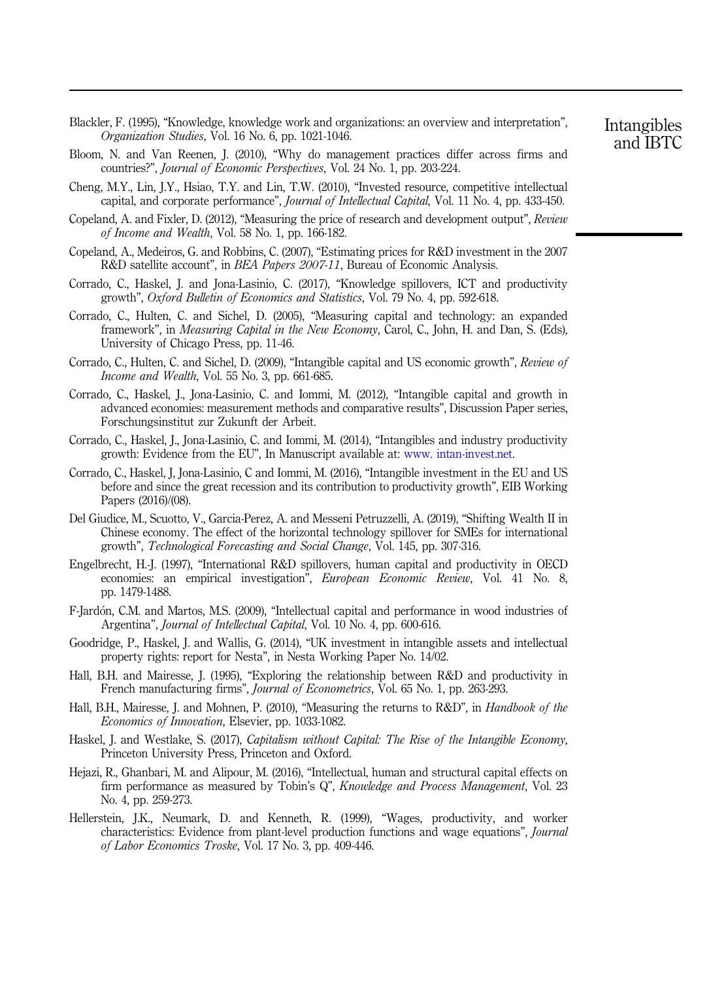- <span id="page-16-0"></span>Blackler, F. (1995), "Knowledge, knowledge work and organizations: an overview and interpretation", Organization Studies, Vol. 16 No. 6, pp. 1021-1046.
- Bloom, N. and Van Reenen, J. (2010), "Why do management practices differ across firms and countries?", Journal of Economic Perspectives, Vol. 24 No. 1, pp. 203-224.
- Cheng, M.Y., Lin, J.Y., Hsiao, T.Y. and Lin, T.W. (2010), "Invested resource, competitive intellectual capital, and corporate performance", Journal of Intellectual Capital, Vol. 11 No. 4, pp. 433-450.
- Copeland, A. and Fixler, D. (2012), "Measuring the price of research and development output", Review of Income and Wealth, Vol. 58 No. 1, pp. 166-182.
- Copeland, A., Medeiros, G. and Robbins, C. (2007), "Estimating prices for R&D investment in the 2007 R&D satellite account", in BEA Papers 2007-11, Bureau of Economic Analysis.
- Corrado, C., Haskel, J. and Jona-Lasinio, C. (2017), "Knowledge spillovers, ICT and productivity growth", Oxford Bulletin of Economics and Statistics, Vol. 79 No. 4, pp. 592-618.
- Corrado, C., Hulten, C. and Sichel, D. (2005), "Measuring capital and technology: an expanded framework", in *Measuring Capital in the New Economy*, Carol, C., John, H. and Dan, S. (Eds), University of Chicago Press, pp. 11-46.
- Corrado, C., Hulten, C. and Sichel, D. (2009), "Intangible capital and US economic growth", Review of Income and Wealth, Vol. 55 No. 3, pp. 661-685.
- Corrado, C., Haskel, J., Jona-Lasinio, C. and Iommi, M. (2012), "Intangible capital and growth in advanced economies: measurement methods and comparative results", Discussion Paper series, Forschungsinstitut zur Zukunft der Arbeit.
- Corrado, C., Haskel, J., Jona-Lasinio, C. and Iommi, M. (2014), "Intangibles and industry productivity growth: Evidence from the EU", In Manuscript available at: www. intan-invest.net.
- Corrado, C., Haskel, J, Jona-Lasinio, C and Iommi, M. (2016), "Intangible investment in the EU and US before and since the great recession and its contribution to productivity growth", EIB Working Papers (2016)/(08).
- Del Giudice, M., Scuotto, V., Garcia-Perez, A. and Messeni Petruzzelli, A. (2019), "Shifting Wealth II in Chinese economy. The effect of the horizontal technology spillover for SMEs for international growth", Technological Forecasting and Social Change, Vol. 145, pp. 307-316.
- Engelbrecht, H.-J. (1997), "International R&D spillovers, human capital and productivity in OECD economies: an empirical investigation", European Economic Review, Vol. 41 No. 8, pp. 1479-1488.
- F-Jardon, C.M. and Martos, M.S. (2009), "Intellectual capital and performance in wood industries of Argentina", Journal of Intellectual Capital, Vol. 10 No. 4, pp. 600-616.
- Goodridge, P., Haskel, J. and Wallis, G. (2014), "UK investment in intangible assets and intellectual property rights: report for Nesta", in Nesta Working Paper No. 14/02.
- Hall, B.H. and Mairesse, J. (1995), "Exploring the relationship between R&D and productivity in French manufacturing firms", *Journal of Econometrics*, Vol. 65 No. 1, pp. 263-293.
- Hall, B.H., Mairesse, J. and Mohnen, P. (2010), "Measuring the returns to R&D", in *Handbook of the* Economics of Innovation, Elsevier, pp. 1033-1082.
- Haskel, J. and Westlake, S. (2017), Capitalism without Capital: The Rise of the Intangible Economy, Princeton University Press, Princeton and Oxford.
- Hejazi, R., Ghanbari, M. and Alipour, M. (2016), "Intellectual, human and structural capital effects on firm performance as measured by Tobin's Q", Knowledge and Process Management, Vol. 23 No. 4, pp. 259-273.
- Hellerstein, J.K., Neumark, D. and Kenneth, R. (1999), "Wages, productivity, and worker characteristics: Evidence from plant-level production functions and wage equations", Journal of Labor Economics Troske, Vol. 17 No. 3, pp. 409-446.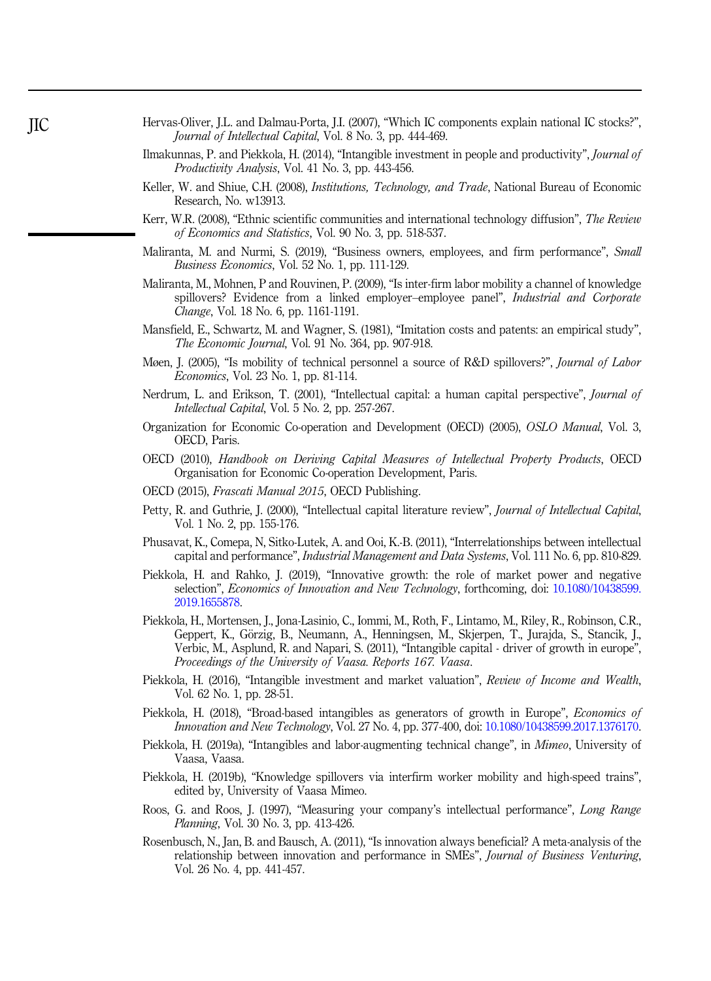- <span id="page-17-0"></span>Hervas-Oliver, J.L. and Dalmau-Porta, J.I. (2007), "Which IC components explain national IC stocks?", Journal of Intellectual Capital, Vol. 8 No. 3, pp. 444-469.
- Ilmakunnas, P. and Piekkola, H. (2014), "Intangible investment in people and productivity", Journal of Productivity Analysis, Vol. 41 No. 3, pp. 443-456.
- Keller, W. and Shiue, C.H. (2008), *Institutions, Technology, and Trade*, National Bureau of Economic Research, No. w13913.
- Kerr, W.R. (2008), "Ethnic scientific communities and international technology diffusion", The Review of Economics and Statistics, Vol. 90 No. 3, pp. 518-537.
- Maliranta, M. and Nurmi, S. (2019), "Business owners, employees, and firm performance", Small Business Economics, Vol. 52 No. 1, pp. 111-129.
- Maliranta, M., Mohnen, P and Rouvinen, P. (2009), "Is inter-firm labor mobility a channel of knowledge spillovers? Evidence from a linked employer–employee panel", *Industrial and Corporate* Change, Vol. 18 No. 6, pp. 1161-1191.
- Mansfield, E., Schwartz, M. and Wagner, S. (1981), "Imitation costs and patents: an empirical study", The Economic Journal, Vol. 91 No. 364, pp. 907-918.
- Møen, J. (2005), "Is mobility of technical personnel a source of R&D spillovers?", *Journal of Labor* Economics, Vol. 23 No. 1, pp. 81-114.
- Nerdrum, L. and Erikson, T. (2001), "Intellectual capital: a human capital perspective", *Journal of* Intellectual Capital, Vol. 5 No. 2, pp. 257-267.
- Organization for Economic Co-operation and Development (OECD) (2005), OSLO Manual, Vol. 3, OECD, Paris.
- OECD (2010), Handbook on Deriving Capital Measures of Intellectual Property Products, OECD Organisation for Economic Co-operation Development, Paris.
- OECD (2015), Frascati Manual 2015, OECD Publishing.
- Petty, R. and Guthrie, J. (2000), "Intellectual capital literature review", Journal of Intellectual Capital, Vol. 1 No. 2, pp. 155-176.
- Phusavat, K., Comepa, N, Sitko-Lutek, A. and Ooi, K.-B. (2011), "Interrelationships between intellectual capital and performance", Industrial Management and Data Systems, Vol. 111 No. 6, pp. 810-829.
- Piekkola, H. and Rahko, J. (2019), "Innovative growth: the role of market power and negative selection", Economics of Innovation and New Technology, forthcoming, doi: [10.1080/10438599.](https://doi.org/10.1080/10438599.2019.1655878) [2019.1655878.](https://doi.org/10.1080/10438599.2019.1655878)
- Piekkola, H., Mortensen, J., Jona-Lasinio, C., Iommi, M., Roth, F., Lintamo, M., Riley, R., Robinson, C.R., Geppert, K., Görzig, B., Neumann, A., Henningsen, M., Skjerpen, T., Jurajda, S., Stancik, J., Verbic, M., Asplund, R. and Napari, S. (2011), "Intangible capital - driver of growth in europe", Proceedings of the University of Vaasa. Reports 167. Vaasa.
- Piekkola, H. (2016), "Intangible investment and market valuation", Review of Income and Wealth, Vol. 62 No. 1, pp. 28-51.
- Piekkola, H. (2018), "Broad-based intangibles as generators of growth in Europe", Economics of Innovation and New Technology, Vol. 27 No. 4, pp. 377-400, doi: [10.1080/10438599.2017.1376170](https://doi.org/10.1080/10438599.2017.1376170).
- Piekkola, H. (2019a), "Intangibles and labor-augmenting technical change", in Mimeo, University of Vaasa, Vaasa.
- Piekkola, H. (2019b), "Knowledge spillovers via interfirm worker mobility and high-speed trains", edited by, University of Vaasa Mimeo.
- Roos, G. and Roos, J. (1997), "Measuring your company's intellectual performance", Long Range Planning, Vol. 30 No. 3, pp. 413-426.
- Rosenbusch, N., Jan, B. and Bausch, A. (2011), "Is innovation always beneficial? A meta-analysis of the relationship between innovation and performance in SMEs", Journal of Business Venturing, Vol. 26 No. 4, pp. 441-457.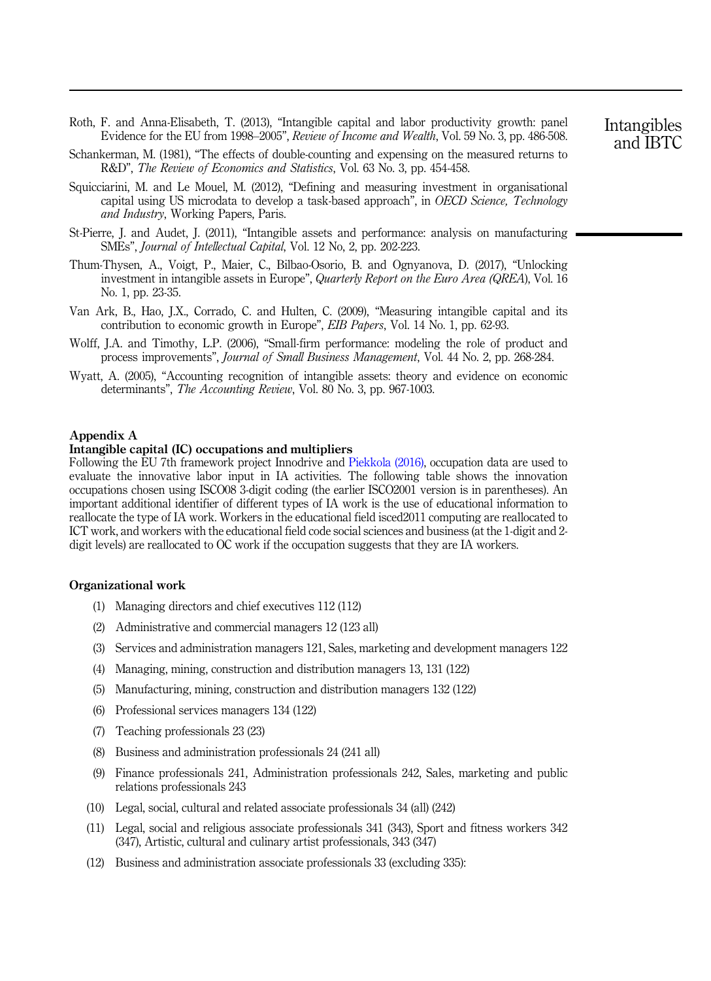- <span id="page-18-0"></span>Roth, F. and Anna-Elisabeth, T. (2013), "Intangible capital and labor productivity growth: panel Evidence for the EU from 1998–2005", Review of Income and Wealth, Vol. 59 No. 3, pp. 486-508.
- Schankerman, M. (1981), "The effects of double-counting and expensing on the measured returns to R&D", The Review of Economics and Statistics, Vol. 63 No. 3, pp. 454-458.
- Squicciarini, M. and Le Mouel, M. (2012), "Defining and measuring investment in organisational capital using US microdata to develop a task-based approach", in OECD Science, Technology and Industry, Working Papers, Paris.
- St-Pierre, J. and Audet, J. (2011), "Intangible assets and performance: analysis on manufacturing SMEs", Journal of Intellectual Capital, Vol. 12 No, 2, pp. 202-223.
- Thum-Thysen, A., Voigt, P., Maier, C., Bilbao-Osorio, B. and Ognyanova, D. (2017), "Unlocking investment in intangible assets in Europe", Quarterly Report on the Euro Area (QREA), Vol. 16 No. 1, pp. 23-35.
- Van Ark, B., Hao, J.X., Corrado, C. and Hulten, C. (2009), "Measuring intangible capital and its contribution to economic growth in Europe", EIB Papers, Vol. 14 No. 1, pp. 62-93.
- Wolff, J.A. and Timothy, L.P. (2006), "Small-firm performance: modeling the role of product and process improvements", Journal of Small Business Management, Vol. 44 No. 2, pp. 268-284.
- Wyatt, A. (2005), "Accounting recognition of intangible assets: theory and evidence on economic determinants", The Accounting Review, Vol. 80 No. 3, pp. 967-1003.

## Appendix A

# Intangible capital (IC) occupations and multipliers

Following the EU 7th framework project Innodrive and [Piekkola \(2016\)](#page-17-0), occupation data are used to evaluate the innovative labor input in IA activities. The following table shows the innovation occupations chosen using ISCO08 3-digit coding (the earlier ISCO2001 version is in parentheses). An important additional identifier of different types of IA work is the use of educational information to reallocate the type of IA work. Workers in the educational field isced2011 computing are reallocated to ICT work, and workers with the educational field code social sciences and business (at the 1-digit and 2 digit levels) are reallocated to OC work if the occupation suggests that they are IA workers.

#### Organizational work

- (1) Managing directors and chief executives 112 (112)
- (2) Administrative and commercial managers 12 (123 all)
- (3) Services and administration managers 121, Sales, marketing and development managers 122
- (4) Managing, mining, construction and distribution managers 13, 131 (122)
- (5) Manufacturing, mining, construction and distribution managers 132 (122)
- (6) Professional services managers 134 (122)
- (7) Teaching professionals 23 (23)
- (8) Business and administration professionals 24 (241 all)
- (9) Finance professionals 241, Administration professionals 242, Sales, marketing and public relations professionals 243
- (10) Legal, social, cultural and related associate professionals 34 (all) (242)
- (11) Legal, social and religious associate professionals 341 (343), Sport and fitness workers 342 (347), Artistic, cultural and culinary artist professionals, 343 (347)
- (12) Business and administration associate professionals 33 (excluding 335):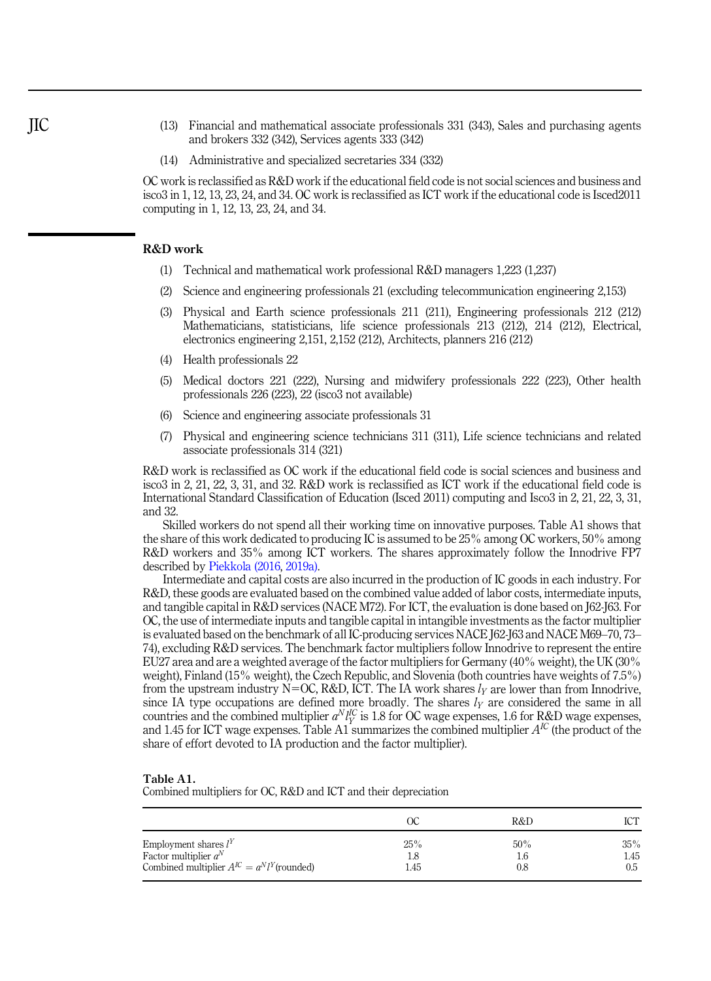- (13) Financial and mathematical associate professionals 331 (343), Sales and purchasing agents and brokers 332 (342), Services agents 333 (342)
- (14) Administrative and specialized secretaries 334 (332)

OC work is reclassified as R&D work if the educational field code is not social sciences and business and isco3 in 1, 12, 13, 23, 24, and 34. OC work is reclassified as ICT work if the educational code is Isced2011 computing in 1, 12, 13, 23, 24, and 34.

#### R&D work

- (1) Technical and mathematical work professional R&D managers 1,223 (1,237)
- (2) Science and engineering professionals 21 (excluding telecommunication engineering 2,153)
- (3) Physical and Earth science professionals 211 (211), Engineering professionals 212 (212) Mathematicians, statisticians, life science professionals 213 (212), 214 (212), Electrical, electronics engineering 2,151, 2,152 (212), Architects, planners 216 (212)
- (4) Health professionals 22
- (5) Medical doctors 221 (222), Nursing and midwifery professionals 222 (223), Other health professionals 226 (223), 22 (isco3 not available)
- (6) Science and engineering associate professionals 31
- (7) Physical and engineering science technicians 311 (311), Life science technicians and related associate professionals 314 (321)

R&D work is reclassified as OC work if the educational field code is social sciences and business and isco3 in 2, 21, 22, 3, 31, and 32. R&D work is reclassified as ICT work if the educational field code is International Standard Classification of Education (Isced 2011) computing and Isco3 in 2, 21, 22, 3, 31, and 32.

Skilled workers do not spend all their working time on innovative purposes. Table A1 shows that the share of this work dedicated to producing IC is assumed to be 25% among OC workers, 50% among R&D workers and 35% among ICT workers. The shares approximately follow the Innodrive FP7 described by [Piekkola \(2016,](#page-17-0) [2019a\)](#page-17-0).

Intermediate and capital costs are also incurred in the production of IC goods in each industry. For R&D, these goods are evaluated based on the combined value added of labor costs, intermediate inputs, and tangible capital in R&D services (NACE M72). For ICT, the evaluation is done based on J62-J63. For OC, the use of intermediate inputs and tangible capital in intangible investments as the factor multiplier is evaluated based on the benchmark of all IC-producing services NACE J62-J63 and NACE M69–70, 73– 74), excluding R&D services. The benchmark factor multipliers follow Innodrive to represent the entire EU27 area and are a weighted average of the factor multipliers for Germany (40% weight), the UK (30% weight), Finland (15% weight), the Czech Republic, and Slovenia (both countries have weights of 7.5%) from the upstream industry N=OC, R&D, ICT. The IA work shares  $l<sub>Y</sub>$  are lower than from Innodrive, since IA type occupations are defined more broadly. The shares  $l<sub>Y</sub>$  are considered the same in all countries and the combined multiplier  $a^N l_Y^{\text{IC}}$  is 1.8 for OC wage expenses, 1.6 for R&D wage expenses, and 1.45 for ICT wage expenses. Table A1 summarizes the combined multiplier  $A^{IC}$  (the product of the share of effort devoted to IA production and the factor multiplier).

#### Table A1.

Combined multipliers for OC, R&D and ICT and their depreciation

|                                                                                                        |                    | R&D        | <b>COLOR</b>       |
|--------------------------------------------------------------------------------------------------------|--------------------|------------|--------------------|
| Employment shares $l^Y$<br>Factor multiplier $a^N$<br>Combined multiplier $A^{IC} = a^N l^Y$ (rounded) | 25%<br>1.8<br>l.45 | 50%<br>0.8 | 35%<br>ı.45<br>0.5 |